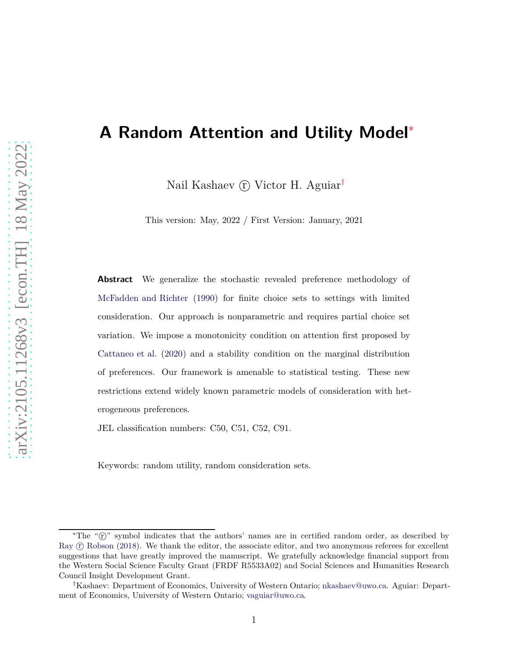## <span id="page-0-0"></span>**A Random Attention and Utility Model**<sup>∗</sup>

Nail Kashaev (r) Victor H. Aguiar<sup>†</sup>

This version: May, 2022 / First Version: January, 2021

**Abstract** We generalize the stochastic revealed preference methodology of [McFadden and Richter](#page-34-0) [\(1990\)](#page-34-0) for finite choice sets to settings with limited consideration. Our approach is nonparametric and requires partial choice set variation. We impose a monotonicity condition on attention first proposed by [Cattaneo et al.](#page-31-0) [\(2020](#page-31-0)) and a stability condition on the marginal distribution of preferences. Our framework is amenable to statistical testing. These new restrictions extend widely known parametric models of consideration with heterogeneous preferences.

JEL classification numbers: C50, C51, C52, C91.

Keywords: random utility, random consideration sets.

<sup>\*</sup>The " $\hat{T}$ " symbol indicates that the authors' names are in certified random order, as described by Ray  $(F)$  [Robson](#page-35-0) [\(2018\)](#page-35-0). We thank the editor, the associate editor, and two anonymous referees for excellent suggestions that have greatly improved the manuscript. We gratefully acknowledge financial support from the Western Social Science Faculty Grant (FRDF R5533A02) and Social Sciences and Humanities Research Council Insight Development Grant.

<sup>†</sup>Kashaev: Department of Economics, University of Western Ontario; [nkashaev@uwo.ca.](mailto:nkashaev@uwo.ca) Aguiar: Department of Economics, University of Western Ontario; [vaguiar@uwo.ca.](mailto:vaguiar@uwo.ca)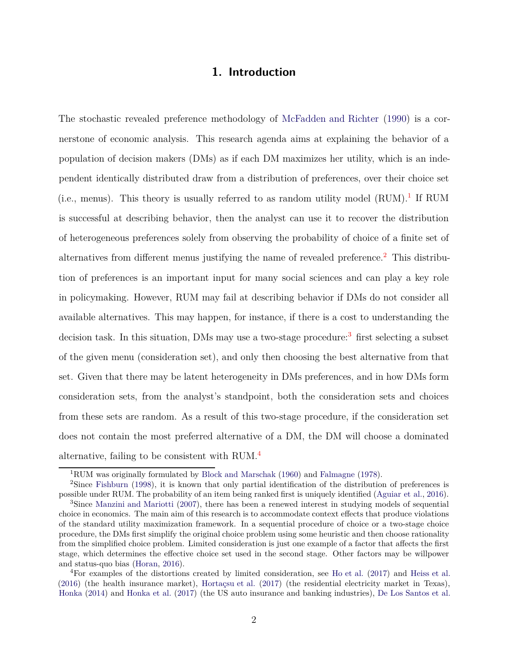## **1. Introduction**

<span id="page-1-4"></span>The stochastic revealed preference methodology of [McFadden and Richter](#page-34-0) [\(1990\)](#page-34-0) is a cornerstone of economic analysis. This research agenda aims at explaining the behavior of a population of decision makers (DMs) as if each DM maximizes her utility, which is an independent identically distributed draw from a distribution of preferences, over their choice set (i.e., menus). This theory is usually referred to as random utility model  $(RUM)^{1}$  $(RUM)^{1}$  $(RUM)^{1}$ . If RUM is successful at describing behavior, then the analyst can use it to recover the distribution of heterogeneous preferences solely from observing the probability of choice of a finite set of alternatives from different menus justifying the name of revealed preference.<sup>[2](#page-1-1)</sup> This distribution of preferences is an important input for many social sciences and can play a key role in policymaking. However, RUM may fail at describing behavior if DMs do not consider all available alternatives. This may happen, for instance, if there is a cost to understanding the decision task. In this situation, DMs may use a two-stage procedure:<sup>[3](#page-1-2)</sup> first selecting a subset of the given menu (consideration set), and only then choosing the best alternative from that set. Given that there may be latent heterogeneity in DMs preferences, and in how DMs form consideration sets, from the analyst's standpoint, both the consideration sets and choices from these sets are random. As a result of this two-stage procedure, if the consideration set does not contain the most preferred alternative of a DM, the DM will choose a dominated alternative, failing to be consistent with RUM.[4](#page-1-3)

<span id="page-1-0"></span><sup>1</sup>RUM was originally formulated by [Block and Marschak](#page-30-0) [\(1960\)](#page-30-0) and [Falmagne](#page-32-0) [\(1978\)](#page-32-0).

<span id="page-1-1"></span><sup>2</sup>Since [Fishburn](#page-32-1) [\(1998\)](#page-32-1), it is known that only partial identification of the distribution of preferences is possible under RUM. The probability of an item being ranked first is uniquely identified [\(Aguiar et al.](#page-29-0), [2016\)](#page-29-0). <sup>3</sup>Since [Manzini and Mariotti](#page-34-1) [\(2007\)](#page-34-1), there has been a renewed interest in studying models of sequential

<span id="page-1-2"></span>choice in economics. The main aim of this research is to accommodate context effects that produce violations of the standard utility maximization framework. In a sequential procedure of choice or a two-stage choice procedure, the DMs first simplify the original choice problem using some heuristic and then choose rationality from the simplified choice problem. Limited consideration is just one example of a factor that affects the first stage, which determines the effective choice set used in the second stage. Other factors may be willpower and status-quo bias [\(Horan](#page-33-0), [2016](#page-33-0)).

<span id="page-1-3"></span><sup>4</sup>For examples of the distortions created by limited consideration, see [Ho et al.](#page-32-2) [\(2017\)](#page-32-2) and [Heiss et al.](#page-32-3) [\(2016\)](#page-32-3) (the health insurance market), [Hortaçsu et al.](#page-33-1) [\(2017](#page-33-1)) (the residential electricity market in Texas), [Honka](#page-32-4) [\(2014](#page-32-4)) and [Honka et al.](#page-32-5) [\(2017\)](#page-32-5) (the US auto insurance and banking industries), [De Los Santos et al.](#page-31-1)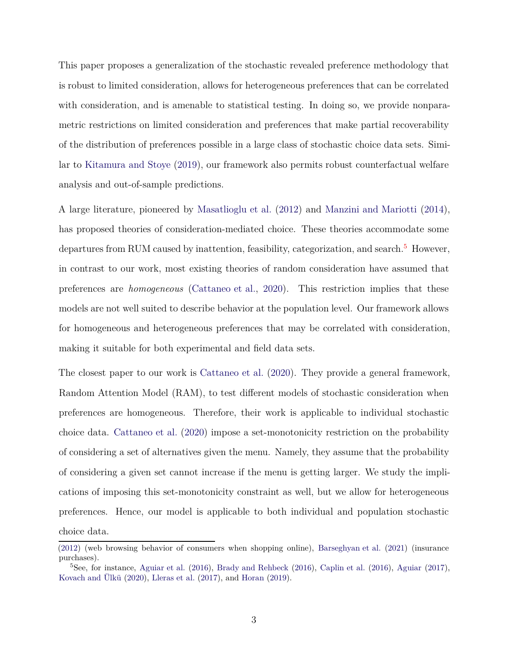This paper proposes a generalization of the stochastic revealed preference methodology that is robust to limited consideration, allows for heterogeneous preferences that can be correlated with consideration, and is amenable to statistical testing. In doing so, we provide nonparametric restrictions on limited consideration and preferences that make partial recoverability of the distribution of preferences possible in a large class of stochastic choice data sets. Similar to [Kitamura and Stoye](#page-33-2) [\(2019](#page-33-2)), our framework also permits robust counterfactual welfare analysis and out-of-sample predictions.

A large literature, pioneered by [Masatlioglu et al.](#page-34-2) [\(2012\)](#page-34-2) and [Manzini and Mariotti](#page-34-3) [\(2014\)](#page-34-3), has proposed theories of consideration-mediated choice. These theories accommodate some departures from RUM caused by inattention, feasibility, categorization, and search.<sup>[5](#page-2-0)</sup> However, in contrast to our work, most existing theories of random consideration have assumed that preferences are *homogeneous* [\(Cattaneo et al.](#page-31-0), [2020\)](#page-31-0). This restriction implies that these models are not well suited to describe behavior at the population level. Our framework allows for homogeneous and heterogeneous preferences that may be correlated with consideration, making it suitable for both experimental and field data sets.

The closest paper to our work is [Cattaneo et al.](#page-31-0) [\(2020\)](#page-31-0). They provide a general framework, Random Attention Model (RAM), to test different models of stochastic consideration when preferences are homogeneous. Therefore, their work is applicable to individual stochastic choice data. [Cattaneo et al.](#page-31-0) [\(2020\)](#page-31-0) impose a set-monotonicity restriction on the probability of considering a set of alternatives given the menu. Namely, they assume that the probability of considering a given set cannot increase if the menu is getting larger. We study the implications of imposing this set-monotonicity constraint as well, but we allow for heterogeneous preferences. Hence, our model is applicable to both individual and population stochastic choice data.

[<sup>\(2012\)</sup>](#page-31-1) (web browsing behavior of consumers when shopping online), [Barseghyan et al.](#page-30-1) [\(2021\)](#page-30-1) (insurance purchases).

<span id="page-2-0"></span><sup>5</sup>See, for instance, [Aguiar et al.](#page-29-0) [\(2016](#page-29-0)), [Brady and Rehbeck](#page-30-2) [\(2016\)](#page-30-2), [Caplin et al.](#page-30-3) [\(2016](#page-30-3)), [Aguiar](#page-29-1) [\(2017\)](#page-29-1), [Kovach and Ülkü](#page-34-4) [\(2020\)](#page-34-4), [Lleras et al.](#page-34-5) [\(2017](#page-34-5)), and [Horan](#page-33-3) [\(2019\)](#page-33-3).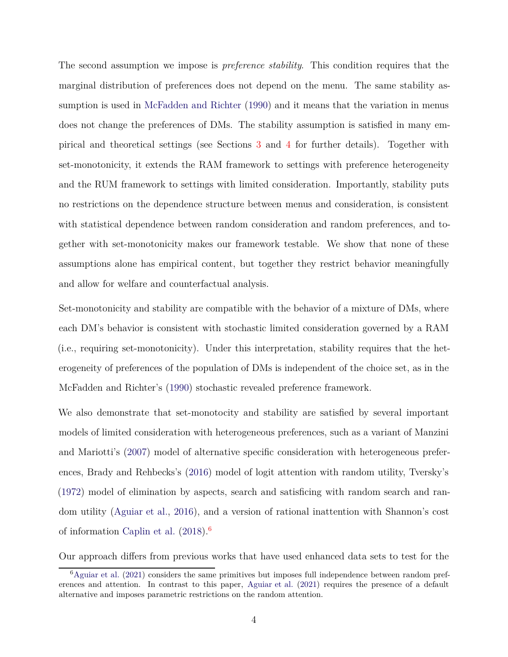The second assumption we impose is *preference stability*. This condition requires that the marginal distribution of preferences does not depend on the menu. The same stability assumption is used in [McFadden and Richter](#page-34-0) [\(1990\)](#page-34-0) and it means that the variation in menus does not change the preferences of DMs. The stability assumption is satisfied in many empirical and theoretical settings (see Sections [3](#page-10-0) and [4](#page-13-0) for further details). Together with set-monotonicity, it extends the RAM framework to settings with preference heterogeneity and the RUM framework to settings with limited consideration. Importantly, stability puts no restrictions on the dependence structure between menus and consideration, is consistent with statistical dependence between random consideration and random preferences, and together with set-monotonicity makes our framework testable. We show that none of these assumptions alone has empirical content, but together they restrict behavior meaningfully and allow for welfare and counterfactual analysis.

Set-monotonicity and stability are compatible with the behavior of a mixture of DMs, where each DM's behavior is consistent with stochastic limited consideration governed by a RAM (i.e., requiring set-monotonicity). Under this interpretation, stability requires that the heterogeneity of preferences of the population of DMs is independent of the choice set, as in the McFadden and Richter's [\(1990\)](#page-34-0) stochastic revealed preference framework.

We also demonstrate that set-monotocity and stability are satisfied by several important models of limited consideration with heterogeneous preferences, such as a variant of Manzini and Mariotti's [\(2007\)](#page-34-1) model of alternative specific consideration with heterogeneous preferences, Brady and Rehbecks's [\(2016](#page-30-2)) model of logit attention with random utility, Tversky's [\(1972\)](#page-35-1) model of elimination by aspects, search and satisficing with random search and random utility [\(Aguiar et al.](#page-29-0), [2016](#page-29-0)), and a version of rational inattention with Shannon's cost of information [Caplin et al.](#page-31-2)  $(2018)^6$  $(2018)^6$  $(2018)^6$ 

Our approach differs from previous works that have used enhanced data sets to test for the

<span id="page-3-0"></span> ${}^{6}$ [Aguiar et al.](#page-29-2) [\(2021](#page-29-2)) considers the same primitives but imposes full independence between random preferences and attention. In contrast to this paper, [Aguiar et al.](#page-29-2) [\(2021\)](#page-29-2) requires the presence of a default alternative and imposes parametric restrictions on the random attention.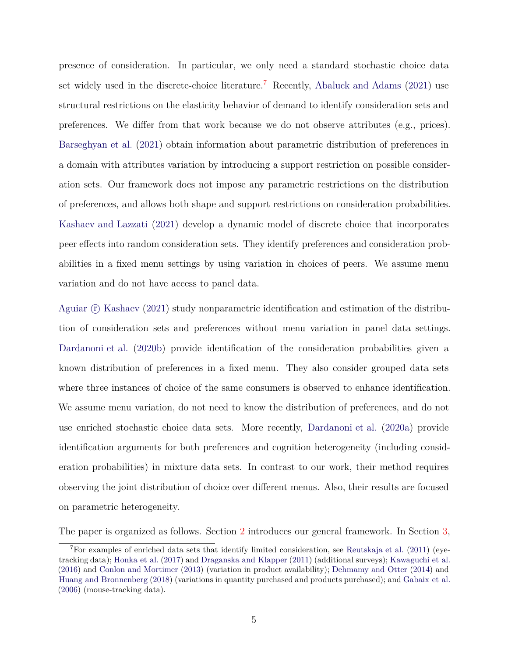presence of consideration. In particular, we only need a standard stochastic choice data set widely used in the discrete-choice literature.<sup>[7](#page-4-0)</sup> Recently, [Abaluck and Adams](#page-29-3)  $(2021)$  use structural restrictions on the elasticity behavior of demand to identify consideration sets and preferences. We differ from that work because we do not observe attributes (e.g., prices). [Barseghyan et al.](#page-30-1) [\(2021\)](#page-30-1) obtain information about parametric distribution of preferences in a domain with attributes variation by introducing a support restriction on possible consideration sets. Our framework does not impose any parametric restrictions on the distribution of preferences, and allows both shape and support restrictions on consideration probabilities. [Kashaev and Lazzati](#page-33-4) [\(2021\)](#page-33-4) develop a dynamic model of discrete choice that incorporates peer effects into random consideration sets. They identify preferences and consideration probabilities in a fixed menu settings by using variation in choices of peers. We assume menu variation and do not have access to panel data.

Aguiar  $\Gamma$  [Kashaev](#page-30-4) [\(2021\)](#page-30-4) study nonparametric identification and estimation of the distribution of consideration sets and preferences without menu variation in panel data settings. [Dardanoni et al.](#page-31-3) [\(2020b](#page-31-3)) provide identification of the consideration probabilities given a known distribution of preferences in a fixed menu. They also consider grouped data sets where three instances of choice of the same consumers is observed to enhance identification. We assume menu variation, do not need to know the distribution of preferences, and do not use enriched stochastic choice data sets. More recently, [Dardanoni et al.](#page-31-4) [\(2020a\)](#page-31-4) provide identification arguments for both preferences and cognition heterogeneity (including consideration probabilities) in mixture data sets. In contrast to our work, their method requires observing the joint distribution of choice over different menus. Also, their results are focused on parametric heterogeneity.

The paper is organized as follows. Section [2](#page-5-0) introduces our general framework. In Section [3,](#page-10-0)

<span id="page-4-0"></span> $^7$ For examples of enriched data sets that identify limited consideration, see [Reutskaja et al.](#page-35-2) [\(2011](#page-35-2)) (eyetracking data); [Honka et al.](#page-32-5) [\(2017\)](#page-32-5) and [Draganska and Klapper](#page-31-5) [\(2011\)](#page-31-5) (additional surveys); [Kawaguchi et al.](#page-33-5) [\(2016\)](#page-33-5) and [Conlon and Mortimer](#page-31-6) [\(2013\)](#page-31-6) (variation in product availability); [Dehmamy and Otter](#page-31-7) [\(2014](#page-31-7)) and [Huang and Bronnenberg](#page-33-6) [\(2018](#page-33-6)) (variations in quantity purchased and products purchased); and [Gabaix et al.](#page-32-6) [\(2006\)](#page-32-6) (mouse-tracking data).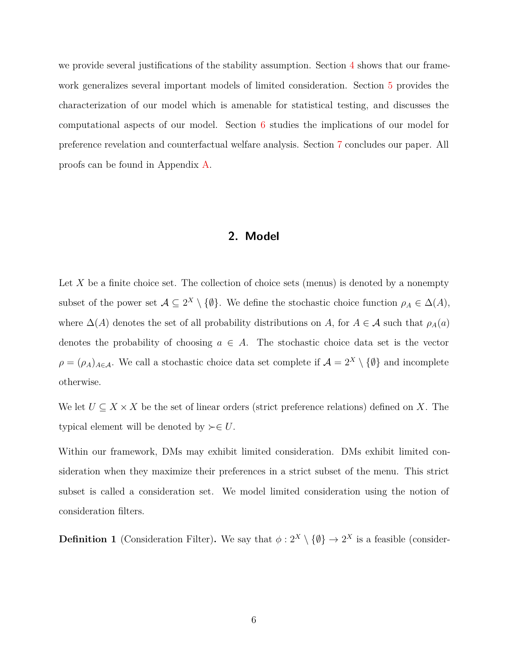<span id="page-5-0"></span>we provide several justifications of the stability assumption. Section [4](#page-13-0) shows that our framework generalizes several important models of limited consideration. Section [5](#page-21-0) provides the characterization of our model which is amenable for statistical testing, and discusses the computational aspects of our model. Section [6](#page-25-0) studies the implications of our model for preference revelation and counterfactual welfare analysis. Section [7](#page-28-0) concludes our paper. All proofs can be found in Appendix [A.](#page-35-3)

## **2. Model**

Let X be a finite choice set. The collection of choice sets (menus) is denoted by a nonempty subset of the power set  $A \subseteq 2^X \setminus \{\emptyset\}$ . We define the stochastic choice function  $\rho_A \in \Delta(A)$ , where  $\Delta(A)$  denotes the set of all probability distributions on *A*, for  $A \in \mathcal{A}$  such that  $\rho_A(a)$ denotes the probability of choosing  $a \in A$ . The stochastic choice data set is the vector  $\rho = (\rho_A)_{A \in \mathcal{A}}$ . We call a stochastic choice data set complete if  $\mathcal{A} = 2^X \setminus \{\emptyset\}$  and incomplete otherwise.

We let  $U \subseteq X \times X$  be the set of linear orders (strict preference relations) defined on X. The typical element will be denoted by  $\succ \in U$ .

Within our framework, DMs may exhibit limited consideration. DMs exhibit limited consideration when they maximize their preferences in a strict subset of the menu. This strict subset is called a consideration set. We model limited consideration using the notion of consideration filters.

<span id="page-5-1"></span>**Definition 1** (Consideration Filter). We say that  $\phi: 2^X \setminus \{\emptyset\} \to 2^X$  is a feasible (consider-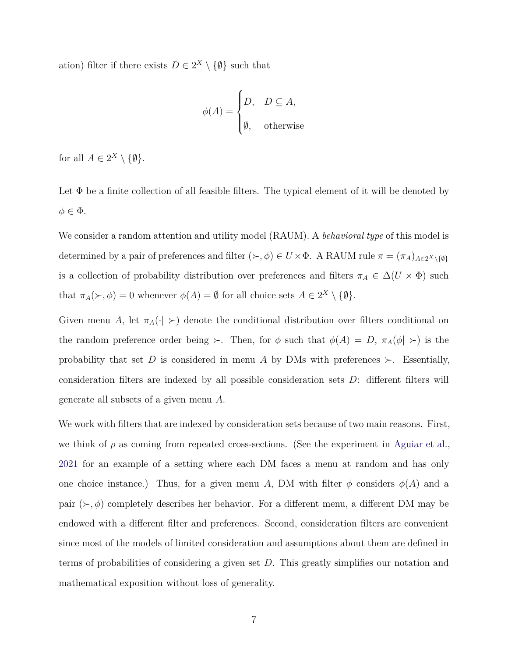ation) filter if there exists  $D \in 2^X \setminus \{\emptyset\}$  such that

$$
\phi(A) = \begin{cases} D, & D \subseteq A, \\ \emptyset, & \text{otherwise} \end{cases}
$$

for all  $A \in 2^X \setminus \{\emptyset\}.$ 

Let  $\Phi$  be a finite collection of all feasible filters. The typical element of it will be denoted by  $\phi \in \Phi$ .

We consider a random attention and utility model (RAUM). A *behavioral type* of this model is determined by a pair of preferences and filter ( $\succ$ ,  $\phi$ ) ∈ *U* ×  $\Phi$ . A RAUM rule  $\pi = (\pi_A)_{A \in 2^X \setminus \{0\}}$ is a collection of probability distribution over preferences and filters  $\pi_A \in \Delta(U \times \Phi)$  such that  $\pi_A(\succ, \phi) = 0$  whenever  $\phi(A) = \emptyset$  for all choice sets  $A \in 2^X \setminus \{\emptyset\}.$ 

Given menu *A*, let  $\pi_A(\cdot) >$  denote the conditional distribution over filters conditional on the random preference order being  $\succ$ . Then, for  $\phi$  such that  $\phi(A) = D$ ,  $\pi_A(\phi \mid \succ)$  is the probability that set *D* is considered in menu *A* by DMs with preferences  $\succ$ . Essentially, consideration filters are indexed by all possible consideration sets *D*: different filters will generate all subsets of a given menu *A*.

We work with filters that are indexed by consideration sets because of two main reasons. First, we think of  $\rho$  as coming from repeated cross-sections. (See the experiment in [Aguiar et al.,](#page-29-2) [2021](#page-29-2) for an example of a setting where each DM faces a menu at random and has only one choice instance.) Thus, for a given menu *A*, DM with filter  $\phi$  considers  $\phi(A)$  and a pair (≻*, φ*) completely describes her behavior. For a different menu, a different DM may be endowed with a different filter and preferences. Second, consideration filters are convenient since most of the models of limited consideration and assumptions about them are defined in terms of probabilities of considering a given set *D*. This greatly simplifies our notation and mathematical exposition without loss of generality.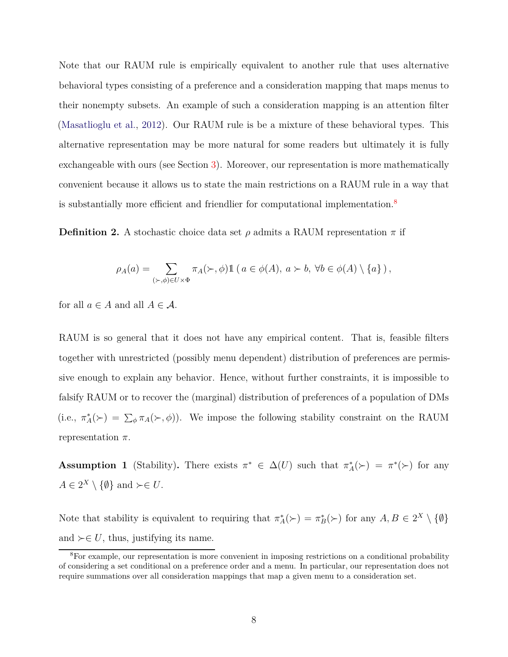Note that our RAUM rule is empirically equivalent to another rule that uses alternative behavioral types consisting of a preference and a consideration mapping that maps menus to their nonempty subsets. An example of such a consideration mapping is an attention filter [\(Masatlioglu et al.,](#page-34-2) [2012\)](#page-34-2). Our RAUM rule is be a mixture of these behavioral types. This alternative representation may be more natural for some readers but ultimately it is fully exchangeable with ours (see Section [3\)](#page-10-0). Moreover, our representation is more mathematically convenient because it allows us to state the main restrictions on a RAUM rule in a way that is substantially more efficient and friendlier for computational implementation.<sup>[8](#page-7-0)</sup>

**Definition 2.** A stochastic choice data set  $\rho$  admits a RAUM representation  $\pi$  if

$$
\rho_A(a) = \sum_{(\succ, \phi) \in U \times \Phi} \pi_A(\succ, \phi) 1\!\!1 (a \in \phi(A), a \succ b, \forall b \in \phi(A) \setminus \{a\}),
$$

for all  $a \in A$  and all  $A \in \mathcal{A}$ .

RAUM is so general that it does not have any empirical content. That is, feasible filters together with unrestricted (possibly menu dependent) distribution of preferences are permissive enough to explain any behavior. Hence, without further constraints, it is impossible to falsify RAUM or to recover the (marginal) distribution of preferences of a population of DMs (i.e.,  $\pi_A^*(\succ) = \sum_{\phi} \pi_A(\succ, \phi)$ ). We impose the following stability constraint on the RAUM representation *π*.

<span id="page-7-1"></span>**Assumption 1** (Stability). There exists  $\pi^* \in \Delta(U)$  such that  $\pi_A^*(\succ) = \pi^*(\succ)$  for any  $A \in 2^X \setminus \{\emptyset\}$  and  $\succ \in U$ .

Note that stability is equivalent to requiring that  $\pi_A^*(\succ) = \pi_B^*(\succ)$  for any  $A, B \in 2^X \setminus \{\emptyset\}$ and  $\succ \in U$ , thus, justifying its name.

<span id="page-7-0"></span><sup>&</sup>lt;sup>8</sup>For example, our representation is more convenient in imposing restrictions on a conditional probability of considering a set conditional on a preference order and a menu. In particular, our representation does not require summations over all consideration mappings that map a given menu to a consideration set.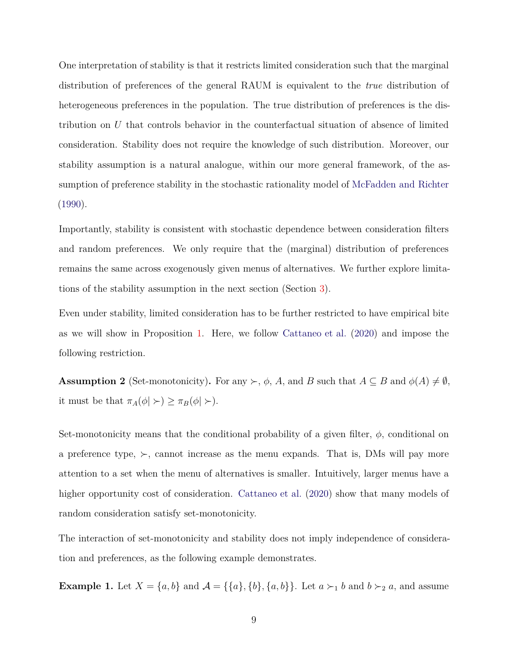One interpretation of stability is that it restricts limited consideration such that the marginal distribution of preferences of the general RAUM is equivalent to the *true* distribution of heterogeneous preferences in the population. The true distribution of preferences is the distribution on *U* that controls behavior in the counterfactual situation of absence of limited consideration. Stability does not require the knowledge of such distribution. Moreover, our stability assumption is a natural analogue, within our more general framework, of the assumption of preference stability in the stochastic rationality model of [McFadden and Richter](#page-34-0) [\(1990\)](#page-34-0).

Importantly, stability is consistent with stochastic dependence between consideration filters and random preferences. We only require that the (marginal) distribution of preferences remains the same across exogenously given menus of alternatives. We further explore limitations of the stability assumption in the next section (Section [3\)](#page-10-0).

Even under stability, limited consideration has to be further restricted to have empirical bite as we will show in Proposition [1.](#page-9-0) Here, we follow [Cattaneo et al.](#page-31-0) [\(2020\)](#page-31-0) and impose the following restriction.

<span id="page-8-0"></span>**Assumption 2** (Set-monotonicity). For any  $\succ$ ,  $\phi$ , *A*, and *B* such that  $A \subseteq B$  and  $\phi(A) \neq \emptyset$ , it must be that  $\pi_A(\phi \mid \succ) \geq \pi_B(\phi \mid \succ).$ 

Set-monotonicity means that the conditional probability of a given filter,  $\phi$ , conditional on a preference type,  $\succ$ , cannot increase as the menu expands. That is, DMs will pay more attention to a set when the menu of alternatives is smaller. Intuitively, larger menus have a higher opportunity cost of consideration. [Cattaneo et al.](#page-31-0) [\(2020](#page-31-0)) show that many models of random consideration satisfy set-monotonicity.

The interaction of set-monotonicity and stability does not imply independence of consideration and preferences, as the following example demonstrates.

**Example 1.** Let  $X = \{a, b\}$  and  $\mathcal{A} = \{\{a\}, \{b\}, \{a, b\}\}\$ . Let  $a \succ_1 b$  and  $b \succ_2 a$ , and assume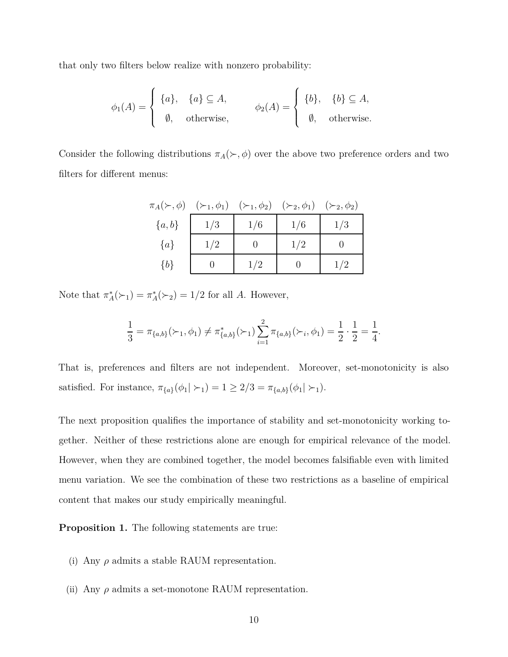that only two filters below realize with nonzero probability:

$$
\phi_1(A) = \begin{cases} \{a\}, & \{a\} \subseteq A, \\ \emptyset, & \text{otherwise,} \end{cases} \qquad \phi_2(A) = \begin{cases} \{b\}, & \{b\} \subseteq A, \\ \emptyset, & \text{otherwise.} \end{cases}
$$

Consider the following distributions  $\pi_A(\succ, \phi)$  over the above two preference orders and two filters for different menus:

|         | $\pi_A(\succ,\phi)$ $(\succ_1,\phi_1)$ $(\succ_1,\phi_2)$ $(\succ_2,\phi_1)$ $(\succ_2,\phi_2)$ |     |     |     |
|---------|-------------------------------------------------------------------------------------------------|-----|-----|-----|
| ${a,b}$ | 1/3                                                                                             | 1/6 | 1/6 | 1/3 |
| $\{a\}$ | 1/2                                                                                             |     | 1/2 |     |
| ${b}$   |                                                                                                 | 1/2 |     | 1/2 |

Note that  $\pi_A^*(\succ_1) = \pi_A^*(\succ_2) = 1/2$  for all *A*. However,

$$
\frac{1}{3} = \pi_{\{a,b\}}(\succ_1, \phi_1) \neq \pi_{\{a,b\}}^*(\succ_1) \sum_{i=1}^2 \pi_{\{a,b\}}(\succ_i, \phi_1) = \frac{1}{2} \cdot \frac{1}{2} = \frac{1}{4}.
$$

That is, preferences and filters are not independent. Moreover, set-monotonicity is also satisfied. For instance,  $\pi_{\{a\}}(\phi_1 | \succ_1) = 1 \geq 2/3 = \pi_{\{a,b\}}(\phi_1 | \succ_1)$ .

The next proposition qualifies the importance of stability and set-monotonicity working together. Neither of these restrictions alone are enough for empirical relevance of the model. However, when they are combined together, the model becomes falsifiable even with limited menu variation. We see the combination of these two restrictions as a baseline of empirical content that makes our study empirically meaningful.

<span id="page-9-0"></span>**Proposition 1.** The following statements are true:

- (i) Any  $\rho$  admits a stable RAUM representation.
- (ii) Any *ρ* admits a set-monotone RAUM representation.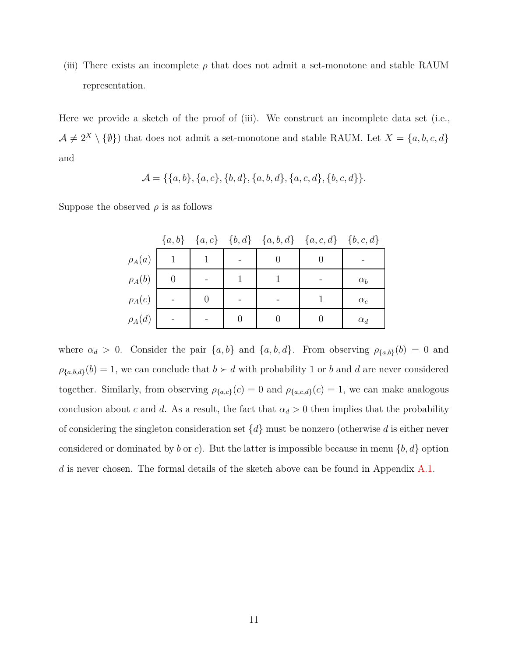(iii) There exists an incomplete  $\rho$  that does not admit a set-monotone and stable RAUM representation.

Here we provide a sketch of the proof of (iii). We construct an incomplete data set (i.e.,  $A \neq 2^X \setminus \{\emptyset\}$  that does not admit a set-monotone and stable RAUM. Let  $X = \{a, b, c, d\}$ and

$$
\mathcal{A} = \{\{a,b\}, \{a,c\}, \{b,d\}, \{a,b,d\}, \{a,c,d\}, \{b,c,d\}\}.
$$

Suppose the observed  $\rho$  is as follows

|             |  |  | ${a,b}$ ${a,c}$ ${b,d}$ ${a,b,d}$ ${a,c,d}$ ${b,c,d}$ |              |
|-------------|--|--|-------------------------------------------------------|--------------|
| $\rho_A(a)$ |  |  |                                                       |              |
| $\rho_A(b)$ |  |  |                                                       | $\alpha_b$   |
| $\rho_A(c)$ |  |  |                                                       | $\alpha_{c}$ |
| $\rho_A(d)$ |  |  |                                                       | $\alpha_d$   |

<span id="page-10-0"></span>where  $\alpha_d > 0$ . Consider the pair  $\{a, b\}$  and  $\{a, b, d\}$ . From observing  $\rho_{\{a, b\}}(b) = 0$  and  $\rho_{\{a,b,d\}}(b) = 1$ , we can conclude that  $b \succ d$  with probability 1 or *b* and *d* are never considered together. Similarly, from observing  $\rho_{\{a,c\}}(c) = 0$  and  $\rho_{\{a,c,d\}}(c) = 1$ , we can make analogous conclusion about *c* and *d*. As a result, the fact that  $\alpha_d > 0$  then implies that the probability of considering the singleton consideration set {*d*} must be nonzero (otherwise *d* is either never considered or dominated by *b* or *c*). But the latter is impossible because in menu  $\{b, d\}$  option d is never chosen. The formal details of the sketch above can be found in Appendix [A.1.](#page-35-4)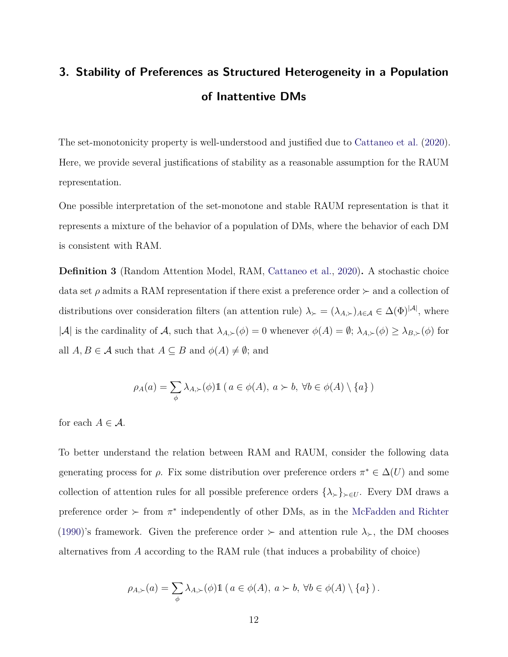# **3. Stability of Preferences as Structured Heterogeneity in a Population of Inattentive DMs**

The set-monotonicity property is well-understood and justified due to [Cattaneo et al.](#page-31-0) [\(2020\)](#page-31-0). Here, we provide several justifications of stability as a reasonable assumption for the RAUM representation.

One possible interpretation of the set-monotone and stable RAUM representation is that it represents a mixture of the behavior of a population of DMs, where the behavior of each DM is consistent with RAM.

<span id="page-11-0"></span>**Definition 3** (Random Attention Model, RAM, [Cattaneo et al.,](#page-31-0) [2020\)](#page-31-0)**.** A stochastic choice data set  $\rho$  admits a RAM representation if there exist a preference order  $\succ$  and a collection of distributions over consideration filters (an attention rule)  $\lambda_{\succ} = (\lambda_{A,\succ})_{A \in \mathcal{A}} \in \Delta(\Phi)^{|\mathcal{A}|}$ , where  $|\mathcal{A}|$  is the cardinality of  $\mathcal{A}$ , such that  $\lambda_{A,\succ}(\phi) = 0$  whenever  $\phi(A) = \emptyset$ ;  $\lambda_{A,\succ}(\phi) \geq \lambda_{B,\succ}(\phi)$  for all  $A, B \in \mathcal{A}$  such that  $A \subseteq B$  and  $\phi(A) \neq \emptyset$ ; and

$$
\rho_A(a) = \sum_{\phi} \lambda_{A,\succ}(\phi) \mathbb{1} \left( a \in \phi(A), \ a \succ b, \ \forall b \in \phi(A) \setminus \{a\} \right)
$$

for each  $A \in \mathcal{A}$ .

To better understand the relation between RAM and RAUM, consider the following data generating process for  $\rho$ . Fix some distribution over preference orders  $\pi^* \in \Delta(U)$  and some collection of attention rules for all possible preference orders  $\{\lambda_{\succ}\}_{\succ\in U}$ . Every DM draws a preference order  $\succ$  from  $\pi^*$  independently of other DMs, as in the [McFadden and Richter](#page-34-0) [\(1990\)](#page-34-0)'s framework. Given the preference order  $\succ$  and attention rule  $\lambda_{\succ}$ , the DM chooses alternatives from *A* according to the RAM rule (that induces a probability of choice)

$$
\rho_{A,\succ}(a) = \sum_{\phi} \lambda_{A,\succ}(\phi) 1\!\!1 (a \in \phi(A), a \succ b, \forall b \in \phi(A) \setminus \{a\}).
$$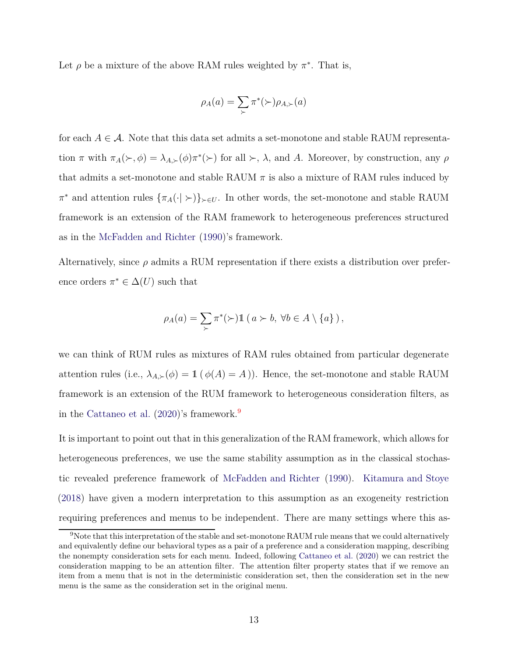Let  $\rho$  be a mixture of the above RAM rules weighted by  $\pi^*$ . That is,

$$
\rho_A(a) = \sum_{\succ} \pi^*(\succ) \rho_{A,\succ}(a)
$$

for each  $A \in \mathcal{A}$ . Note that this data set admits a set-monotone and stable RAUM representation  $\pi$  with  $\pi_A(\succ,\phi) = \lambda_{A,\succ}(\phi)\pi^*(\succ)$  for all  $\succ$ ,  $\lambda$ , and *A*. Moreover, by construction, any  $\rho$ that admits a set-monotone and stable RAUM  $\pi$  is also a mixture of RAM rules induced by  $\pi^*$  and attention rules  $\{\pi_A(\cdot \mid \succ)\}_{\succ \in U}$ . In other words, the set-monotone and stable RAUM framework is an extension of the RAM framework to heterogeneous preferences structured as in the [McFadden and Richter](#page-34-0) [\(1990\)](#page-34-0)'s framework.

Alternatively, since  $\rho$  admits a RUM representation if there exists a distribution over preference orders  $\pi^* \in \Delta(U)$  such that

$$
\rho_A(a) = \sum_{\succ} \pi^*(\succ) \mathbb{1} \left( a \succ b, \ \forall b \in A \setminus \{a\} \right),
$$

we can think of RUM rules as mixtures of RAM rules obtained from particular degenerate attention rules (i.e.,  $\lambda_{A,\succ}(p) = 1$  ( $\phi(A) = A$ )). Hence, the set-monotone and stable RAUM framework is an extension of the RUM framework to heterogeneous consideration filters, as in the [Cattaneo et al.](#page-31-0) [\(2020](#page-31-0))'s framework.[9](#page-12-0)

It is important to point out that in this generalization of the RAM framework, which allows for heterogeneous preferences, we use the same stability assumption as in the classical stochastic revealed preference framework of [McFadden and Richter](#page-34-0) [\(1990\)](#page-34-0). [Kitamura and Stoye](#page-33-7) [\(2018\)](#page-33-7) have given a modern interpretation to this assumption as an exogeneity restriction requiring preferences and menus to be independent. There are many settings where this as-

<span id="page-12-0"></span><sup>9</sup>Note that this interpretation of the stable and set-monotone RAUM rule means that we could alternatively and equivalently define our behavioral types as a pair of a preference and a consideration mapping, describing the nonempty consideration sets for each menu. Indeed, following [Cattaneo et al.](#page-31-0) [\(2020\)](#page-31-0) we can restrict the consideration mapping to be an attention filter. The attention filter property states that if we remove an item from a menu that is not in the deterministic consideration set, then the consideration set in the new menu is the same as the consideration set in the original menu.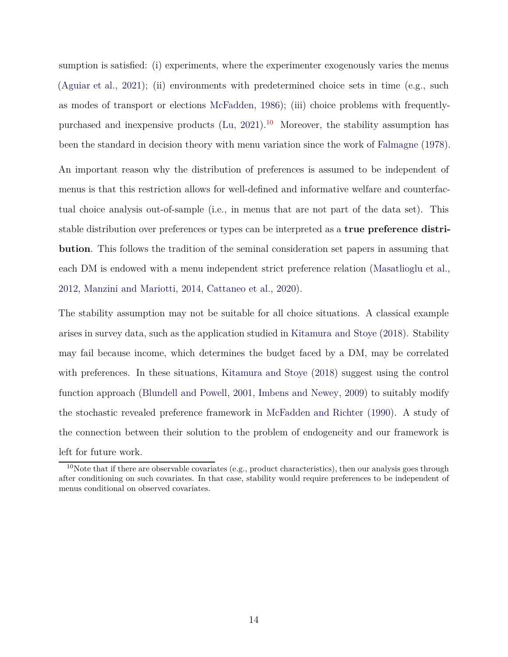sumption is satisfied: (i) experiments, where the experimenter exogenously varies the menus [\(Aguiar et al.,](#page-29-2) [2021\)](#page-29-2); (ii) environments with predetermined choice sets in time (e.g., such as modes of transport or elections [McFadden](#page-34-6), [1986\)](#page-34-6); (iii) choice problems with frequentlypurchased and inexpensive products  $(Lu, 2021).$  $(Lu, 2021).$  $(Lu, 2021).$  $(Lu, 2021).$ <sup>[10](#page-13-1)</sup> Moreover, the stability assumption has been the standard in decision theory with menu variation since the work of [Falmagne](#page-32-0) [\(1978\)](#page-32-0).

An important reason why the distribution of preferences is assumed to be independent of menus is that this restriction allows for well-defined and informative welfare and counterfactual choice analysis out-of-sample (i.e., in menus that are not part of the data set). This stable distribution over preferences or types can be interpreted as a **true preference distribution**. This follows the tradition of the seminal consideration set papers in assuming that each DM is endowed with a menu independent strict preference relation [\(Masatlioglu et al.,](#page-34-2) [2012,](#page-34-2) [Manzini and Mariotti,](#page-34-3) [2014](#page-34-3), [Cattaneo et al.](#page-31-0), [2020\)](#page-31-0).

The stability assumption may not be suitable for all choice situations. A classical example arises in survey data, such as the application studied in [Kitamura and Stoye](#page-33-7) [\(2018](#page-33-7)). Stability may fail because income, which determines the budget faced by a DM, may be correlated with preferences. In these situations, [Kitamura and Stoye](#page-33-7) [\(2018](#page-33-7)) suggest using the control function approach [\(Blundell and Powell,](#page-30-5) [2001,](#page-30-5) [Imbens and Newey](#page-33-8), [2009\)](#page-33-8) to suitably modify the stochastic revealed preference framework in [McFadden and Richter](#page-34-0) [\(1990\)](#page-34-0). A study of the connection between their solution to the problem of endogeneity and our framework is left for future work.

<span id="page-13-1"></span><span id="page-13-0"></span> $10$ Note that if there are observable covariates (e.g., product characteristics), then our analysis goes through after conditioning on such covariates. In that case, stability would require preferences to be independent of menus conditional on observed covariates.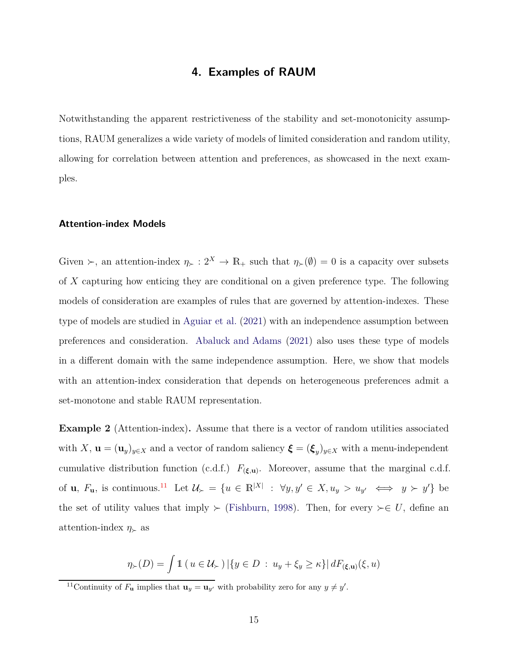## **4. Examples of RAUM**

Notwithstanding the apparent restrictiveness of the stability and set-monotonicity assumptions, RAUM generalizes a wide variety of models of limited consideration and random utility, allowing for correlation between attention and preferences, as showcased in the next examples.

#### **Attention-index Models**

Given ≻, an attention-index  $\eta_{\succ} : 2^X \to \mathbb{R}_+$  such that  $\eta_{\succ}(\emptyset) = 0$  is a capacity over subsets of *X* capturing how enticing they are conditional on a given preference type. The following models of consideration are examples of rules that are governed by attention-indexes. These type of models are studied in [Aguiar et al.](#page-29-2) [\(2021\)](#page-29-2) with an independence assumption between preferences and consideration. [Abaluck and Adams](#page-29-3) [\(2021\)](#page-29-3) also uses these type of models in a different domain with the same independence assumption. Here, we show that models with an attention-index consideration that depends on heterogeneous preferences admit a set-monotone and stable RAUM representation.

<span id="page-14-1"></span>**Example 2** (Attention-index). Assume that there is a vector of random utilities associated with *X*,  $\mathbf{u} = (\mathbf{u}_y)_{y \in X}$  and a vector of random saliency  $\boldsymbol{\xi} = (\boldsymbol{\xi}_y)_{y \in X}$  with a menu-independent cumulative distribution function (c.d.f.)  $F_{(\xi,\mathbf{u})}$ . Moreover, assume that the marginal c.d.f. of **u**,  $F_u$ , is continuous.<sup>[11](#page-14-0)</sup> Let  $\mathcal{U}_{\succ} = \{u \in \mathbb{R}^{|X|} : \forall y, y' \in X, u_y > u_{y'} \iff y > y'\}$  be the set of utility values that imply  $\succ$  [\(Fishburn](#page-32-1), [1998](#page-32-1)). Then, for every  $\succ \in U$ , define an attention-index  $\eta_{\succ}$  as

$$
\eta_{\succ}(D) = \int \mathbb{1} \left( u \in \mathcal{U}_{\succ} \right) \left| \{ y \in D : u_y + \xi_y \ge \kappa \} \right| dF_{(\xi, \mathbf{u})}(\xi, u)
$$

<span id="page-14-0"></span><sup>&</sup>lt;sup>11</sup>Continuity of  $F_u$  implies that  $\mathbf{u}_y = \mathbf{u}_{y'}$  with probability zero for any  $y \neq y'$ .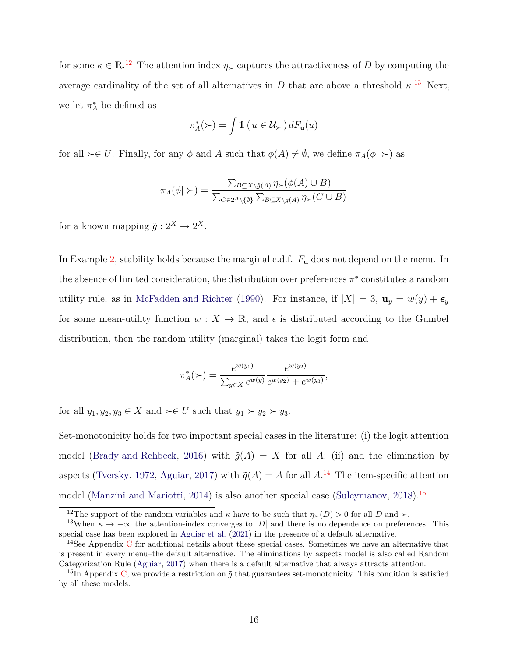for some  $\kappa \in \mathbb{R}^{12}$  $\kappa \in \mathbb{R}^{12}$  $\kappa \in \mathbb{R}^{12}$ . The attention index  $\eta_{\succ}$  captures the attractiveness of *D* by computing the average cardinality of the set of all alternatives in *D* that are above a threshold  $\kappa$ <sup>[13](#page-15-1)</sup> Next, we let  $\pi_A^*$  be defined as

$$
\pi_A^*(\succ) = \int \mathbb{1}\left(u \in \mathcal{U}_\succ\right) dF_{\mathbf{u}}(u)
$$

for all  $\succ \in U$ . Finally, for any  $\phi$  and *A* such that  $\phi(A) \neq \emptyset$ , we define  $\pi_A(\phi \mid \succ)$  as

$$
\pi_A(\phi \mid \succ) = \frac{\sum_{B \subseteq X \setminus \tilde{g}(A)} \eta_{\succ}(\phi(A) \cup B)}{\sum_{C \in 2^A \setminus \{\emptyset\}} \sum_{B \subseteq X \setminus \tilde{g}(A)} \eta_{\succ}(C \cup B)}
$$

for a known mapping  $\tilde{g}: 2^X \to 2^X$ .

In Example [2,](#page-14-1) stability holds because the marginal c.d.f. *F***<sup>u</sup>** does not depend on the menu. In the absence of limited consideration, the distribution over preferences  $\pi^*$  constitutes a random utility rule, as in [McFadden and Richter](#page-34-0) [\(1990](#page-34-0)). For instance, if  $|X| = 3$ ,  $\mathbf{u}_y = w(y) + \epsilon_y$ for some mean-utility function  $w: X \to \mathbb{R}$ , and  $\epsilon$  is distributed according to the Gumbel distribution, then the random utility (marginal) takes the logit form and

$$
\pi_A^*(\succ) = \frac{e^{w(y_1)}}{\sum_{y \in X} e^{w(y)}} \frac{e^{w(y_2)}}{e^{w(y_2)} + e^{w(y_3)}},
$$

for all  $y_1, y_2, y_3 \in X$  and  $\succ \in U$  such that  $y_1 \succ y_2 \succ y_3$ .

Set-monotonicity holds for two important special cases in the literature: (i) the logit attention model [\(Brady and Rehbeck,](#page-30-2) [2016\)](#page-30-2) with  $\tilde{g}(A) = X$  for all A; (ii) and the elimination by aspects [\(Tversky,](#page-35-1) [1972](#page-35-1), [Aguiar,](#page-29-1) [2017](#page-29-1)) with  $\tilde{g}(A) = A$  for all  $A$ .<sup>[14](#page-15-2)</sup> The item-specific attention model [\(Manzini and Mariotti,](#page-34-3) [2014](#page-34-3)) is also another special case [\(Suleymanov,](#page-35-5) [2018\)](#page-35-5).<sup>[15](#page-15-3)</sup>

<span id="page-15-0"></span><sup>&</sup>lt;sup>12</sup>The support of the random variables and *κ* have to be such that  $\eta$ <sub>≻</sub>(*D*) > 0 for all *D* and ≻.

<span id="page-15-1"></span><sup>&</sup>lt;sup>13</sup>When  $\kappa \to -\infty$  the attention-index converges to |*D*| and there is no dependence on preferences. This special case has been explored in [Aguiar et al.](#page-29-2) [\(2021\)](#page-29-2) in the presence of a default alternative.

<span id="page-15-2"></span><sup>&</sup>lt;sup>14</sup>See Appendix [C](#page-43-0) for additional details about these special cases. Sometimes we have an alternative that is present in every menu–the default alternative. The eliminations by aspects model is also called Random Categorization Rule [\(Aguiar,](#page-29-1) [2017\)](#page-29-1) when there is a default alternative that always attracts attention.

<span id="page-15-3"></span><sup>&</sup>lt;sup>15</sup>In Appendix [C,](#page-43-0) we provide a restriction on  $\tilde{g}$  that guarantees set-monotonicity. This condition is satisfied by all these models.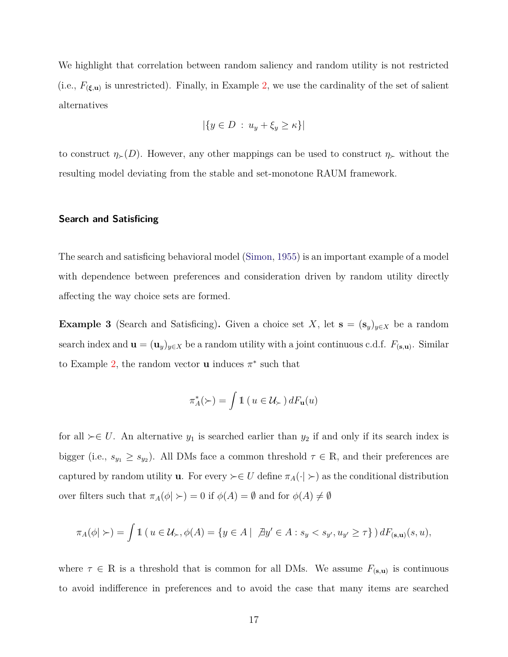We highlight that correlation between random saliency and random utility is not restricted (i.e.,  $F_{(\xi,\mathbf{u})}$  is unrestricted). Finally, in Example [2,](#page-14-1) we use the cardinality of the set of salient alternatives

$$
|\{y \in D : u_y + \xi_y \ge \kappa\}\|
$$

to construct  $\eta_>(D)$ . However, any other mappings can be used to construct  $\eta_>(D)$  without the resulting model deviating from the stable and set-monotone RAUM framework.

#### **Search and Satisficing**

The search and satisficing behavioral model [\(Simon](#page-35-6), [1955\)](#page-35-6) is an important example of a model with dependence between preferences and consideration driven by random utility directly affecting the way choice sets are formed.

<span id="page-16-0"></span>**Example 3** (Search and Satisficing). Given a choice set *X*, let **s** =  $(\mathbf{s}_y)_{y \in X}$  be a random search index and  $\mathbf{u} = (\mathbf{u}_y)_{y \in X}$  be a random utility with a joint continuous c.d.f.  $F_{(\mathbf{s},\mathbf{u})}$ . Similar to Example [2,](#page-14-1) the random vector **u** induces  $\pi^*$  such that

$$
\pi_A^*(\succ) = \int \mathbb{1}\left(u \in \mathcal{U}_\succ\right) dF_{\mathbf{u}}(u)
$$

for all  $\succ \in U$ . An alternative  $y_1$  is searched earlier than  $y_2$  if and only if its search index is bigger (i.e.,  $s_{y_1} \geq s_{y_2}$ ). All DMs face a common threshold  $\tau \in \mathbb{R}$ , and their preferences are captured by random utility **u**. For every  $\succ \in U$  define  $\pi_A(\cdot | \succ)$  as the conditional distribution over filters such that  $\pi_A(\phi \mid \rangle = 0$  if  $\phi(A) = \emptyset$  and for  $\phi(A) \neq \emptyset$ 

$$
\pi_A(\phi \mid \succ) = \int 1\!\! 1\,(\,u \in \mathcal{U}_\succ, \phi(A) = \{y \in A \mid \exists y' \in A : s_y < s_{y'}, u_{y'} \geq \tau\}\,) \, dF_{(\mathbf{s}, \mathbf{u})}(s, u),
$$

where  $\tau \in \mathbb{R}$  is a threshold that is common for all DMs. We assume  $F_{(s,u)}$  is continuous to avoid indifference in preferences and to avoid the case that many items are searched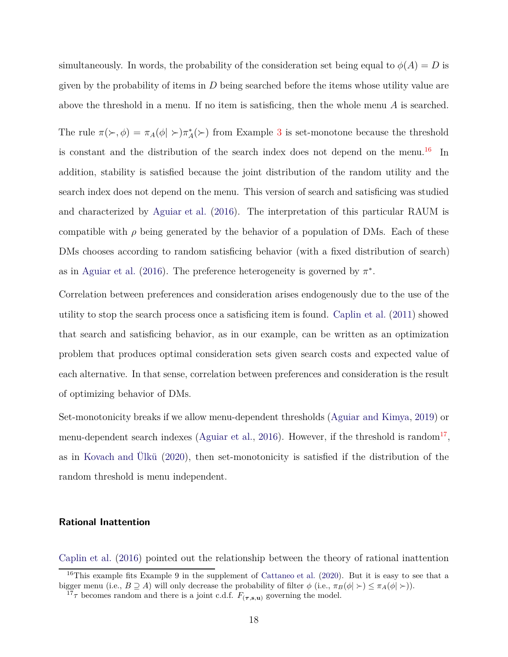simultaneously. In words, the probability of the consideration set being equal to  $\phi(A) = D$  is given by the probability of items in *D* being searched before the items whose utility value are above the threshold in a menu. If no item is satisficing, then the whole menu *A* is searched.

The rule  $\pi(\succ, \phi) = \pi_A(\phi \mid \succ) \pi_A^*(\succ)$  from Example [3](#page-16-0) is set-monotone because the threshold is constant and the distribution of the search index does not depend on the menu.<sup>[16](#page-17-0)</sup> In addition, stability is satisfied because the joint distribution of the random utility and the search index does not depend on the menu. This version of search and satisficing was studied and characterized by [Aguiar et al.](#page-29-0) [\(2016\)](#page-29-0). The interpretation of this particular RAUM is compatible with  $\rho$  being generated by the behavior of a population of DMs. Each of these DMs chooses according to random satisficing behavior (with a fixed distribution of search) as in [Aguiar et al.](#page-29-0) [\(2016\)](#page-29-0). The preference heterogeneity is governed by  $\pi^*$ .

Correlation between preferences and consideration arises endogenously due to the use of the utility to stop the search process once a satisficing item is found. [Caplin et al.](#page-31-8) [\(2011\)](#page-31-8) showed that search and satisficing behavior, as in our example, can be written as an optimization problem that produces optimal consideration sets given search costs and expected value of each alternative. In that sense, correlation between preferences and consideration is the result of optimizing behavior of DMs.

Set-monotonicity breaks if we allow menu-dependent thresholds [\(Aguiar and Kimya,](#page-30-6) [2019\)](#page-30-6) or menu-dependent search indexes [\(Aguiar et al.,](#page-29-0) [2016\)](#page-29-0). However, if the threshold is random<sup>[17](#page-17-1)</sup>, as in [Kovach and Ülkü](#page-34-4) [\(2020\)](#page-34-4), then set-monotonicity is satisfied if the distribution of the random threshold is menu independent.

#### **Rational Inattention**

[Caplin et al.](#page-30-3) [\(2016\)](#page-30-3) pointed out the relationship between the theory of rational inattention

<sup>&</sup>lt;sup>16</sup>This example fits Example 9 in the supplement of [Cattaneo et al.](#page-31-0) [\(2020](#page-31-0)). But it is easy to see that a bigger menu (i.e.,  $B \supseteq A$ ) will only decrease the probability of filter  $\phi$  (i.e.,  $\pi_B(\phi| \geq) \leq \pi_A(\phi| \geq)$ ).

<span id="page-17-1"></span><span id="page-17-0"></span> $17\tau$  becomes random and there is a joint c.d.f.  $F_{(\tau,s,\mathbf{u})}$  governing the model.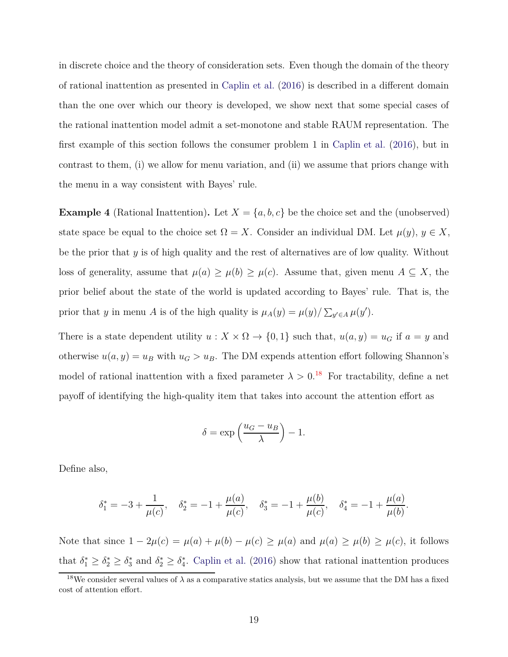in discrete choice and the theory of consideration sets. Even though the domain of the theory of rational inattention as presented in [Caplin et al.](#page-30-3) [\(2016\)](#page-30-3) is described in a different domain than the one over which our theory is developed, we show next that some special cases of the rational inattention model admit a set-monotone and stable RAUM representation. The first example of this section follows the consumer problem 1 in [Caplin et al.](#page-30-3) [\(2016](#page-30-3)), but in contrast to them, (i) we allow for menu variation, and (ii) we assume that priors change with the menu in a way consistent with Bayes' rule.

<span id="page-18-1"></span>**Example 4** (Rational Inattention). Let  $X = \{a, b, c\}$  be the choice set and the (unobserved) state space be equal to the choice set  $\Omega = X$ . Consider an individual DM. Let  $\mu(y), y \in X$ , be the prior that *y* is of high quality and the rest of alternatives are of low quality. Without loss of generality, assume that  $\mu(a) \geq \mu(b) \geq \mu(c)$ . Assume that, given menu  $A \subseteq X$ , the prior belief about the state of the world is updated according to Bayes' rule. That is, the prior that *y* in menu *A* is of the high quality is  $\mu_A(y) = \mu(y) / \sum_{y' \in A} \mu(y')$ .

There is a state dependent utility  $u : X \times \Omega \to \{0, 1\}$  such that,  $u(a, y) = u_G$  if  $a = y$  and otherwise  $u(a, y) = u_B$  with  $u_G > u_B$ . The DM expends attention effort following Shannon's model of rational inattention with a fixed parameter  $\lambda > 0$ .<sup>[18](#page-18-0)</sup> For tractability, define a net payoff of identifying the high-quality item that takes into account the attention effort as

$$
\delta = \exp\left(\frac{u_G - u_B}{\lambda}\right) - 1.
$$

Define also,

$$
\delta_1^* = -3 + \frac{1}{\mu(c)}, \quad \delta_2^* = -1 + \frac{\mu(a)}{\mu(c)}, \quad \delta_3^* = -1 + \frac{\mu(b)}{\mu(c)}, \quad \delta_4^* = -1 + \frac{\mu(a)}{\mu(b)}.
$$

Note that since  $1 - 2\mu(c) = \mu(a) + \mu(b) - \mu(c) \ge \mu(a)$  and  $\mu(a) \ge \mu(b) \ge \mu(c)$ , it follows that  $\delta_1^* \geq \delta_2^* \geq \delta_3^*$  and  $\delta_2^* \geq \delta_4^*$ . [Caplin et al.](#page-30-3) [\(2016\)](#page-30-3) show that rational inattention produces

<span id="page-18-0"></span><sup>&</sup>lt;sup>18</sup>We consider several values of  $\lambda$  as a comparative statics analysis, but we assume that the DM has a fixed cost of attention effort.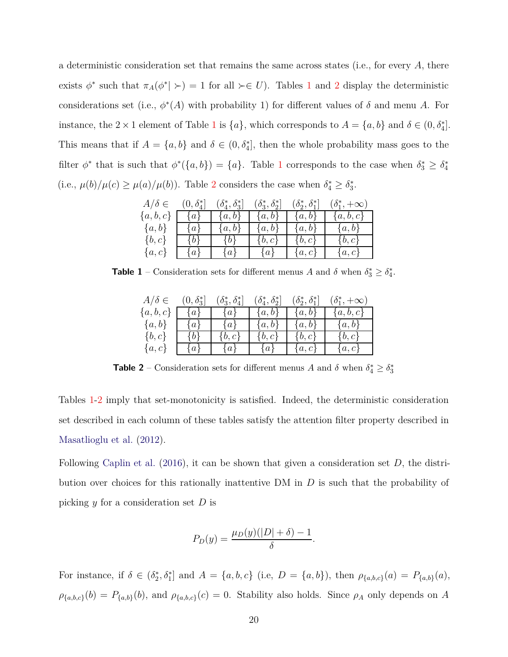a deterministic consideration set that remains the same across states (i.e., for every *A*, there exists  $\phi^*$  such that  $\pi_A(\phi^*| \succ) = 1$  $\pi_A(\phi^*| \succ) = 1$  for all  $\succ \in U$ ). Tables 1 and [2](#page-19-1) display the deterministic considerations set (i.e.,  $\phi^*(A)$  with probability 1) for different values of  $\delta$  and menu  $A$ . For instance, the  $2 \times 1$  $2 \times 1$  element of Table 1 is  $\{a\}$ , which corresponds to  $A = \{a, b\}$  and  $\delta \in (0, \delta_4^*]$ . This means that if  $A = \{a, b\}$  and  $\delta \in (0, \delta_4^*]$ , then the whole probability mass goes to the filter  $\phi^*$  that is such that  $\phi^*(\{a, b\}) = \{a\}$ . Table [1](#page-19-0) corresponds to the case when  $\delta_3^* \geq \delta_4^*$ (i.e.,  $\mu(b)/\mu(c) \ge \mu(a)/\mu(b)$ ). Table [2](#page-19-1) considers the case when  $\delta_4^* \ge \delta_3^*$ .

<span id="page-19-0"></span>

| $A/\delta \in$ | $(0,\delta_4^*]$ | $(\delta_4^*, \delta_3^*]$ | $(\delta_3^*, \delta_2^*]$ | $(\delta_2^*, \delta_1^*]$ | $(\delta_1^*, +\infty)$ |
|----------------|------------------|----------------------------|----------------------------|----------------------------|-------------------------|
| $\{a,b,c\}$    | $\{a\}$          | $\{a,b\}$                  | $\{a,b\}$                  | $\{a,b\}$                  | $\{a,b,c\}$             |
| $\{a,b\}$      | $\{a\}$          | $\{a,b\}$                  | $\{a,b\}$                  | $\{a,b\}$                  | $\{a,b\}$               |
| $\{b,c\}$      | $\{b\}$          | $\{b\}$                    | $\{b,c\}$                  | $\{b, c\}$                 | $\{b,c\}$               |
| $\{a,c\}$      | $\{a\}$          | $\{a\}$                    | $\{a\}$                    | $\{a,c\}$                  | $\{a,c\}$               |

<span id="page-19-1"></span>**Table 1** – Consideration sets for different menus *A* and *δ* when  $\delta_3^* \geq \delta_4^*$ .

| $A/\delta \in$ | $(0,\delta_3^*)$ | $(\delta_3^*,\delta_4^* $ | $(\delta_4^*, \delta_2^*]$ | $(\delta_2^*, \delta_1^*]$ | $(\delta_1^*, +\infty)$ |
|----------------|------------------|---------------------------|----------------------------|----------------------------|-------------------------|
| $\{a,b,c\}$    | $\{a\}$          | $\{a\}$                   | $\{a,b\}$                  | $\{a,b\}$                  | ${a,b,c}$               |
| $\{a,b\}$      | $\{a\}$          | $\{a\}$                   | ${a,b}$                    | $\{a,b\}$                  | $\{a,b\}$               |
| $\{b,c\}$      | $\{b\}$          | $\{b,c\}$                 | $\{b,c\}$                  | $\{b,c\}$                  | $\{b,c\}$               |
| $\{a,c\}$      | $\{a\}$          | $\{a\}$                   | $\{a\}$                    | $\{a,c\}$                  | $\{a,c\}$               |

**Table 2** – Consideration sets for different menus *A* and *δ* when  $\delta_4^* \geq \delta_3^*$ 

Tables [1-](#page-19-0)[2](#page-19-1) imply that set-monotonicity is satisfied. Indeed, the deterministic consideration set described in each column of these tables satisfy the attention filter property described in [Masatlioglu et al.](#page-34-2) [\(2012](#page-34-2)).

Following [Caplin et al.](#page-30-3) [\(2016\)](#page-30-3), it can be shown that given a consideration set *D*, the distribution over choices for this rationally inattentive DM in *D* is such that the probability of picking *y* for a consideration set *D* is

$$
P_D(y) = \frac{\mu_D(y)(|D| + \delta) - 1}{\delta}.
$$

For instance, if  $\delta \in (\delta_2^*, \delta_1^*]$  and  $A = \{a, b, c\}$  (i.e,  $D = \{a, b\}$ ), then  $\rho_{\{a, b, c\}}(a) = P_{\{a, b\}}(a)$ ,  $\rho_{\{a,b,c\}}(b) = P_{\{a,b\}}(b)$ , and  $\rho_{\{a,b,c\}}(c) = 0$ . Stability also holds. Since  $\rho_A$  only depends on *A*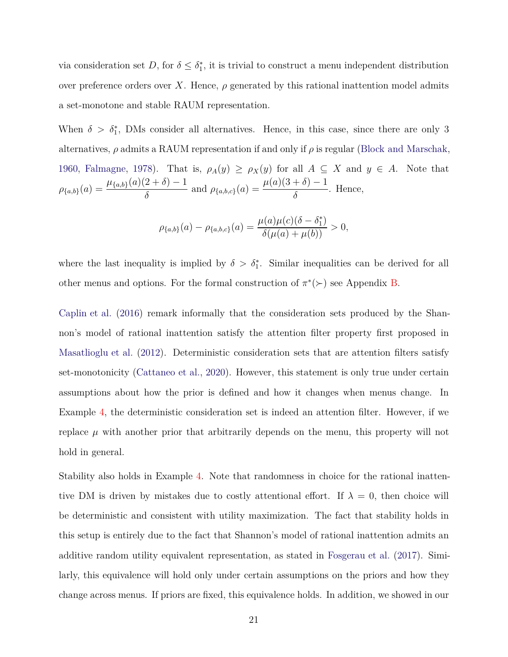via consideration set  $D$ , for  $\delta \leq \delta_1^*$ , it is trivial to construct a menu independent distribution over preference orders over X. Hence,  $\rho$  generated by this rational inattention model admits a set-monotone and stable RAUM representation.

When  $\delta > \delta_1^*$ , DMs consider all alternatives. Hence, in this case, since there are only 3 alternatives,  $\rho$  admits a RAUM representation if and only if  $\rho$  is regular [\(Block and Marschak](#page-30-0), [1960,](#page-30-0) [Falmagne](#page-32-0), [1978\)](#page-32-0). That is,  $\rho_A(y) \ge \rho_X(y)$  for all  $A \subseteq X$  and  $y \in A$ . Note that  $\rho_{\{a,b\}}(a) = \frac{\mu_{\{a,b\}}(a)(2+\delta)-1}{\delta}$  and  $\rho_{\{a,b,c\}}(a) = \frac{\mu(a)(3+\delta)-1}{\delta}$ . Hence,

$$
\rho_{\{a,b\}}(a) - \rho_{\{a,b,c\}}(a) = \frac{\mu(a)\mu(c)(\delta - \delta_1^*)}{\delta(\mu(a) + \mu(b))} > 0,
$$

where the last inequality is implied by  $\delta > \delta_1^*$ . Similar inequalities can be derived for all other menus and options. For the formal construction of  $\pi^*(\succ)$  see Appendix [B.](#page-40-0)

[Caplin et al.](#page-30-3) [\(2016\)](#page-30-3) remark informally that the consideration sets produced by the Shannon's model of rational inattention satisfy the attention filter property first proposed in [Masatlioglu et al.](#page-34-2) [\(2012\)](#page-34-2). Deterministic consideration sets that are attention filters satisfy set-monotonicity [\(Cattaneo et al.](#page-31-0), [2020\)](#page-31-0). However, this statement is only true under certain assumptions about how the prior is defined and how it changes when menus change. In Example [4,](#page-18-1) the deterministic consideration set is indeed an attention filter. However, if we replace  $\mu$  with another prior that arbitrarily depends on the menu, this property will not hold in general.

Stability also holds in Example [4.](#page-18-1) Note that randomness in choice for the rational inattentive DM is driven by mistakes due to costly attentional effort. If  $\lambda = 0$ , then choice will be deterministic and consistent with utility maximization. The fact that stability holds in this setup is entirely due to the fact that Shannon's model of rational inattention admits an additive random utility equivalent representation, as stated in [Fosgerau et al.](#page-32-7) [\(2017\)](#page-32-7). Similarly, this equivalence will hold only under certain assumptions on the priors and how they change across menus. If priors are fixed, this equivalence holds. In addition, we showed in our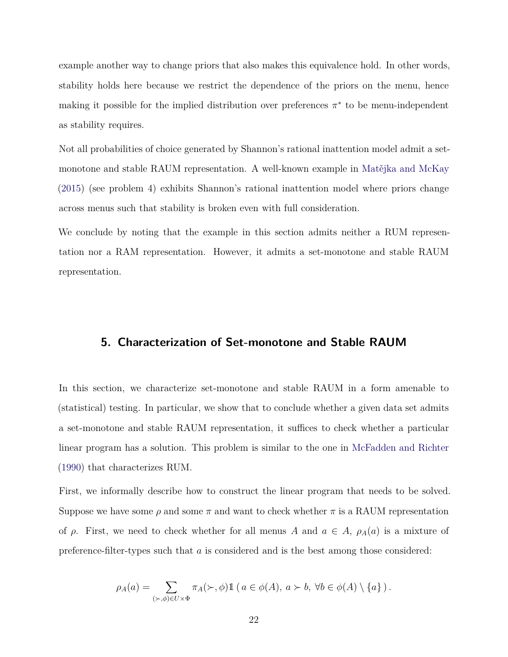example another way to change priors that also makes this equivalence hold. In other words, stability holds here because we restrict the dependence of the priors on the menu, hence making it possible for the implied distribution over preferences *π* ∗ to be menu-independent as stability requires.

Not all probabilities of choice generated by Shannon's rational inattention model admit a setmonotone and stable RAUM representation. A well-known example in [Matějka and McKay](#page-34-8) [\(2015\)](#page-34-8) (see problem 4) exhibits Shannon's rational inattention model where priors change across menus such that stability is broken even with full consideration.

<span id="page-21-0"></span>We conclude by noting that the example in this section admits neither a RUM representation nor a RAM representation. However, it admits a set-monotone and stable RAUM representation.

## **5. Characterization of Set-monotone and Stable RAUM**

In this section, we characterize set-monotone and stable RAUM in a form amenable to (statistical) testing. In particular, we show that to conclude whether a given data set admits a set-monotone and stable RAUM representation, it suffices to check whether a particular linear program has a solution. This problem is similar to the one in [McFadden and Richter](#page-34-0) [\(1990\)](#page-34-0) that characterizes RUM.

First, we informally describe how to construct the linear program that needs to be solved. Suppose we have some  $\rho$  and some  $\pi$  and want to check whether  $\pi$  is a RAUM representation of  $\rho$ . First, we need to check whether for all menus *A* and  $a \in A$ ,  $\rho_A(a)$  is a mixture of preference-filter-types such that *a* is considered and is the best among those considered:

$$
\rho_A(a) = \sum_{(\succ, \phi) \in U \times \Phi} \pi_A(\succ, \phi) \mathbb{1} \left( a \in \phi(A), \ a \succ b, \ \forall b \in \phi(A) \setminus \{a\} \right).
$$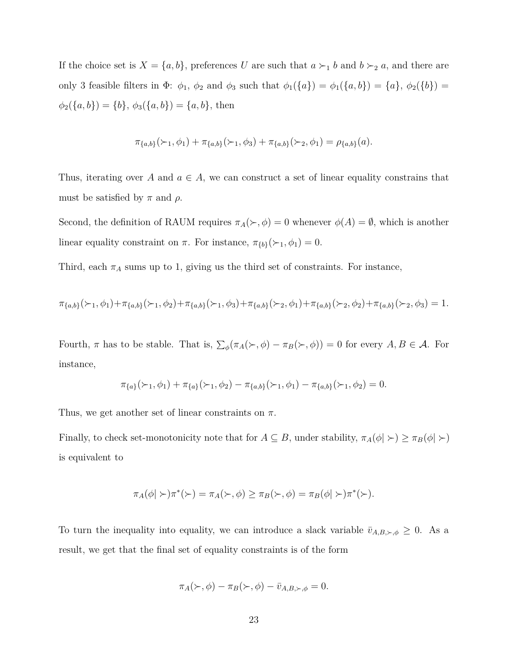If the choice set is  $X = \{a, b\}$ , preferences *U* are such that  $a \succ_1 b$  and  $b \succ_2 a$ , and there are only 3 feasible filters in  $\Phi$ :  $\phi_1$ ,  $\phi_2$  and  $\phi_3$  such that  $\phi_1({a}) = \phi_1({a}, b) = {a}$ ,  $\phi_2({b}) =$  $\phi_2({a, b}) = {b}, \phi_3({a, b}) = {a, b}, \text{ then}$ 

$$
\pi_{\{a,b\}}(\succ_1, \phi_1) + \pi_{\{a,b\}}(\succ_1, \phi_3) + \pi_{\{a,b\}}(\succ_2, \phi_1) = \rho_{\{a,b\}}(a).
$$

Thus, iterating over *A* and  $a \in A$ , we can construct a set of linear equality constrains that must be satisfied by  $\pi$  and  $\rho$ .

Second, the definition of RAUM requires  $\pi_A(\succ, \phi) = 0$  whenever  $\phi(A) = \emptyset$ , which is another linear equality constraint on  $\pi$ . For instance,  $\pi_{\{b\}}(\succ_1, \phi_1) = 0$ .

Third, each  $\pi_A$  sums up to 1, giving us the third set of constraints. For instance,

$$
\pi_{\{a,b\}}(\succ_1,\phi_1)+\pi_{\{a,b\}}(\succ_1,\phi_2)+\pi_{\{a,b\}}(\succ_1,\phi_3)+\pi_{\{a,b\}}(\succ_2,\phi_1)+\pi_{\{a,b\}}(\succ_2,\phi_2)+\pi_{\{a,b\}}(\succ_2,\phi_3)=1.
$$

Fourth,  $\pi$  has to be stable. That is,  $\sum_{\phi} (\pi_A(\succ, \phi) - \pi_B(\succ, \phi)) = 0$  for every  $A, B \in \mathcal{A}$ . For instance,

$$
\pi_{\{a\}}(\succ_1, \phi_1) + \pi_{\{a\}}(\succ_1, \phi_2) - \pi_{\{a,b\}}(\succ_1, \phi_1) - \pi_{\{a,b\}}(\succ_1, \phi_2) = 0.
$$

Thus, we get another set of linear constraints on *π*.

Finally, to check set-monotonicity note that for  $A \subseteq B$ , under stability,  $\pi_A(\phi \mid \succ) \geq \pi_B(\phi \mid \succ)$ is equivalent to

$$
\pi_A(\phi \mid \succ) \pi^*(\succ) = \pi_A(\succ, \phi) \ge \pi_B(\succ, \phi) = \pi_B(\phi \mid \succ) \pi^*(\succ).
$$

To turn the inequality into equality, we can introduce a slack variable  $\bar{v}_{A,B,\succ,\phi} \geq 0$ . As a result, we get that the final set of equality constraints is of the form

$$
\pi_A(\succ,\phi) - \pi_B(\succ,\phi) - \bar{v}_{A,B,\succ,\phi} = 0.
$$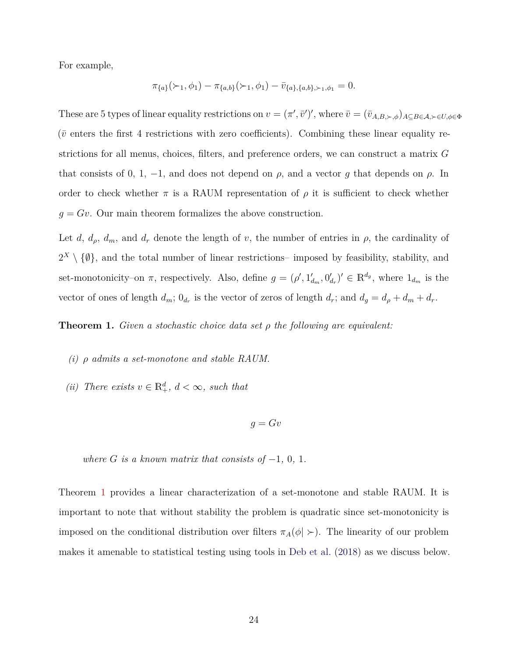For example,

$$
\pi_{\{a\}}(\succ_1, \phi_1) - \pi_{\{a,b\}}(\succ_1, \phi_1) - \bar{v}_{\{a\},\{a,b\},\succ_1,\phi_1} = 0.
$$

These are 5 types of linear equality restrictions on  $v = (\pi', \bar{v}')'$ , where  $\bar{v} = (\bar{v}_{A,B,\succ,\phi})_{A\subseteq B\in\mathcal{A},\succ\in U,\phi\in\Phi}$  $(\bar{v}$  enters the first 4 restrictions with zero coefficients). Combining these linear equality restrictions for all menus, choices, filters, and preference orders, we can construct a matrix *G* that consists of 0, 1, -1, and does not depend on  $\rho$ , and a vector *g* that depends on  $\rho$ . In order to check whether  $\pi$  is a RAUM representation of  $\rho$  it is sufficient to check whether  $g = Gv$ . Our main theorem formalizes the above construction.

Let *d*,  $d_{\rho}$ ,  $d_{m}$ , and  $d_{r}$  denote the length of *v*, the number of entries in  $\rho$ , the cardinality of  $2^X \setminus \{\emptyset\}$ , and the total number of linear restrictions– imposed by feasibility, stability, and set-monotonicity–on  $\pi$ , respectively. Also, define  $g = (\rho', 1'_{d_m}, 0'_{d_r})' \in \mathbb{R}^{d_g}$ , where  $1_{d_m}$  is the vector of ones of length  $d_m$ ;  $0_{d_r}$  is the vector of zeros of length  $d_r$ ; and  $d_g = d_\rho + d_m + d_r$ .

<span id="page-23-0"></span>**Theorem 1.** *Given a stochastic choice data set ρ the following are equivalent:*

- <span id="page-23-1"></span>*(i) ρ admits a set-monotone and stable RAUM.*
- *(ii) There exists*  $v \in \mathbb{R}^d_+$ *,*  $d < \infty$ *, such that*

$$
g = Gv
$$

*where*  $G$  *is a known matrix that consists of*  $-1$ *,* 0*,* 1*.* 

Theorem [1](#page-23-0) provides a linear characterization of a set-monotone and stable RAUM. It is important to note that without stability the problem is quadratic since set-monotonicity is imposed on the conditional distribution over filters  $\pi_A(\phi \mid \rangle$ . The linearity of our problem makes it amenable to statistical testing using tools in [Deb et al.](#page-31-9) [\(2018](#page-31-9)) as we discuss below.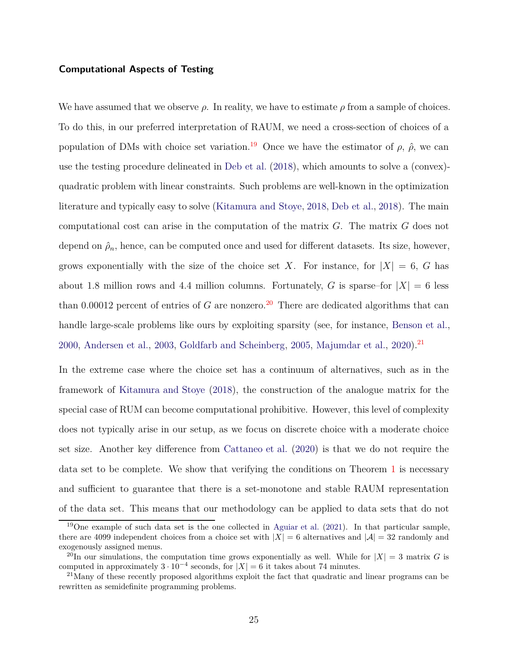#### **Computational Aspects of Testing**

We have assumed that we observe *ρ*. In reality, we have to estimate *ρ* from a sample of choices. To do this, in our preferred interpretation of RAUM, we need a cross-section of choices of a population of DMs with choice set variation.<sup>[19](#page-24-0)</sup> Once we have the estimator of  $\rho$ ,  $\hat{\rho}$ , we can use the testing procedure delineated in [Deb et al.](#page-31-9) [\(2018\)](#page-31-9), which amounts to solve a (convex) quadratic problem with linear constraints. Such problems are well-known in the optimization literature and typically easy to solve [\(Kitamura and Stoye,](#page-33-7) [2018,](#page-33-7) [Deb et al.](#page-31-9), [2018](#page-31-9)). The main computational cost can arise in the computation of the matrix *G*. The matrix *G* does not depend on  $\hat{\rho}_n$ , hence, can be computed once and used for different datasets. Its size, however, grows exponentially with the size of the choice set *X*. For instance, for  $|X| = 6$ , *G* has about 1.8 million rows and 4.4 million columns. Fortunately, *G* is sparse–for  $|X| = 6$  less than 0.00012 percent of entries of  $G$  are nonzero.<sup>[20](#page-24-1)</sup> There are dedicated algorithms that can handle large-scale problems like ours by exploiting sparsity (see, for instance, [Benson et al.,](#page-30-7) [2000,](#page-30-7) [Andersen et al.,](#page-30-8) [2003,](#page-30-8) [Goldfarb and Scheinberg](#page-32-8), [2005](#page-32-8), [Majumdar et al.,](#page-34-9) [2020](#page-34-9)).<sup>[21](#page-24-2)</sup>

In the extreme case where the choice set has a continuum of alternatives, such as in the framework of [Kitamura and Stoye](#page-33-7) [\(2018\)](#page-33-7), the construction of the analogue matrix for the special case of RUM can become computational prohibitive. However, this level of complexity does not typically arise in our setup, as we focus on discrete choice with a moderate choice set size. Another key difference from [Cattaneo et al.](#page-31-0) [\(2020\)](#page-31-0) is that we do not require the data set to be complete. We show that verifying the conditions on Theorem [1](#page-23-0) is necessary and sufficient to guarantee that there is a set-monotone and stable RAUM representation of the data set. This means that our methodology can be applied to data sets that do not

<span id="page-24-0"></span><sup>&</sup>lt;sup>19</sup>One example of such data set is the one collected in [Aguiar et al.](#page-29-2)  $(2021)$ . In that particular sample, there are 4099 independent choices from a choice set with  $|X| = 6$  alternatives and  $|A| = 32$  randomly and exogenously assigned menus.

<span id="page-24-1"></span><sup>&</sup>lt;sup>20</sup>In our simulations, the computation time grows exponentially as well. While for  $|X| = 3$  matrix *G* is computed in approximately  $3 \cdot 10^{-4}$  seconds, for  $|X| = 6$  it takes about 74 minutes.

<span id="page-24-2"></span><sup>&</sup>lt;sup>21</sup>Many of these recently proposed algorithms exploit the fact that quadratic and linear programs can be rewritten as semidefinite programming problems.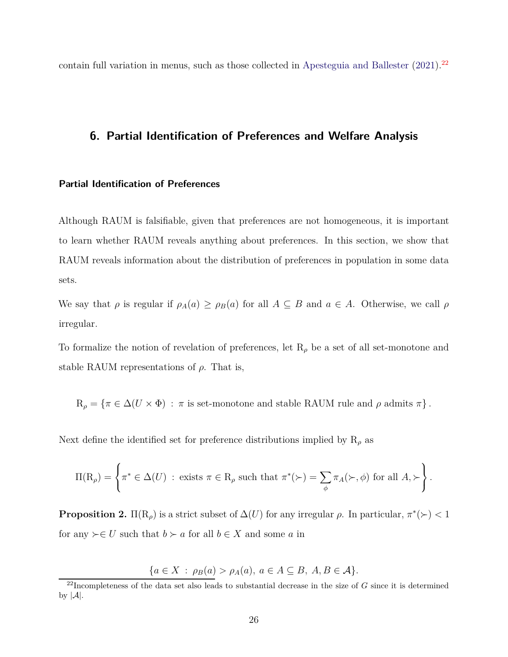<span id="page-25-0"></span>contain full variation in menus, such as those collected in [Apesteguia and Ballester](#page-30-9)  $(2021)^{22}$  $(2021)^{22}$  $(2021)^{22}$  $(2021)^{22}$ 

## **6. Partial Identification of Preferences and Welfare Analysis**

#### **Partial Identification of Preferences**

Although RAUM is falsifiable, given that preferences are not homogeneous, it is important to learn whether RAUM reveals anything about preferences. In this section, we show that RAUM reveals information about the distribution of preferences in population in some data sets.

We say that  $\rho$  is regular if  $\rho_A(a) \geq \rho_B(a)$  for all  $A \subseteq B$  and  $a \in A$ . Otherwise, we call  $\rho$ irregular.

To formalize the notion of revelation of preferences, let  $R_\rho$  be a set of all set-monotone and stable RAUM representations of  $\rho$ . That is,

 $R_\rho = \{ \pi \in \Delta(U \times \Phi) : \pi \text{ is set-monotone and stable RAUM rule and } \rho \text{ admits } \pi \}.$ 

Next define the identified set for preference distributions implied by  $R_\rho$  as

$$
\Pi(\mathcal{R}_{\rho}) = \left\{ \pi^* \in \Delta(U) \; : \; \text{exists} \; \pi \in \mathcal{R}_{\rho} \; \text{such that} \; \pi^*(\succ) = \sum_{\phi} \pi_A(\succ, \phi) \; \text{for all} \; A, \succ \right\}.
$$

<span id="page-25-2"></span>**Proposition 2.**  $\Pi(R_\rho)$  is a strict subset of  $\Delta(U)$  for any irregular  $\rho$ . In particular,  $\pi^*(\succ) < 1$ for any  $\succ \in U$  such that  $b \succ a$  for all  $b \in X$  and some  $a$  in

$$
\{a \in X \,:\, \rho_B(a) > \rho_A(a), \ a \in A \subseteq B, \ A, B \in \mathcal{A}\}.
$$

<span id="page-25-1"></span><sup>22</sup>Incompleteness of the data set also leads to substantial decrease in the size of *G* since it is determined by  $|\mathcal{A}|$ .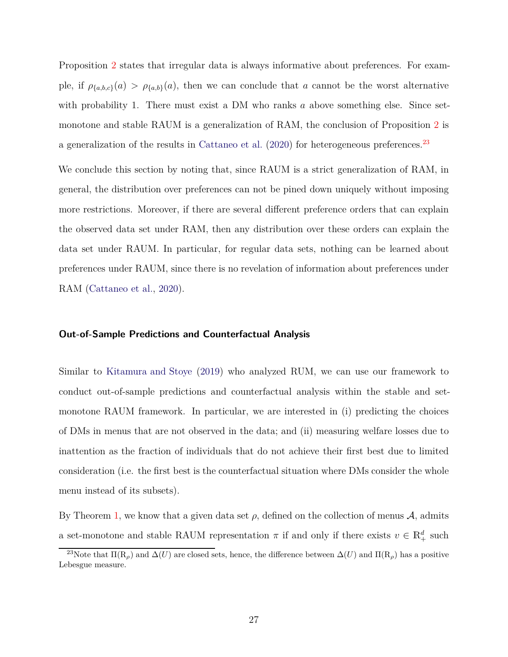Proposition [2](#page-25-2) states that irregular data is always informative about preferences. For example, if  $\rho_{\{a,b,c\}}(a) > \rho_{\{a,b\}}(a)$ , then we can conclude that *a* cannot be the worst alternative with probability 1. There must exist a DM who ranks *a* above something else. Since setmonotone and stable RAUM is a generalization of RAM, the conclusion of Proposition [2](#page-25-2) is a generalization of the results in [Cattaneo et al.](#page-31-0) [\(2020](#page-31-0)) for heterogeneous preferences.<sup>[23](#page-26-0)</sup>

We conclude this section by noting that, since RAUM is a strict generalization of RAM, in general, the distribution over preferences can not be pined down uniquely without imposing more restrictions. Moreover, if there are several different preference orders that can explain the observed data set under RAM, then any distribution over these orders can explain the data set under RAUM. In particular, for regular data sets, nothing can be learned about preferences under RAUM, since there is no revelation of information about preferences under RAM [\(Cattaneo et al.](#page-31-0), [2020\)](#page-31-0).

#### **Out-of-Sample Predictions and Counterfactual Analysis**

Similar to [Kitamura and Stoye](#page-33-2) [\(2019\)](#page-33-2) who analyzed RUM, we can use our framework to conduct out-of-sample predictions and counterfactual analysis within the stable and setmonotone RAUM framework. In particular, we are interested in (i) predicting the choices of DMs in menus that are not observed in the data; and (ii) measuring welfare losses due to inattention as the fraction of individuals that do not achieve their first best due to limited consideration (i.e. the first best is the counterfactual situation where DMs consider the whole menu instead of its subsets).

By Theorem [1,](#page-23-0) we know that a given data set  $\rho$ , defined on the collection of menus  $\mathcal{A}$ , admits a set-monotone and stable RAUM representation  $\pi$  if and only if there exists  $v \in \mathbb{R}^d_+$  such

<span id="page-26-0"></span><sup>&</sup>lt;sup>23</sup>Note that  $\Pi(R_\rho)$  and  $\Delta(U)$  are closed sets, hence, the difference between  $\Delta(U)$  and  $\Pi(R_\rho)$  has a positive Lebesgue measure.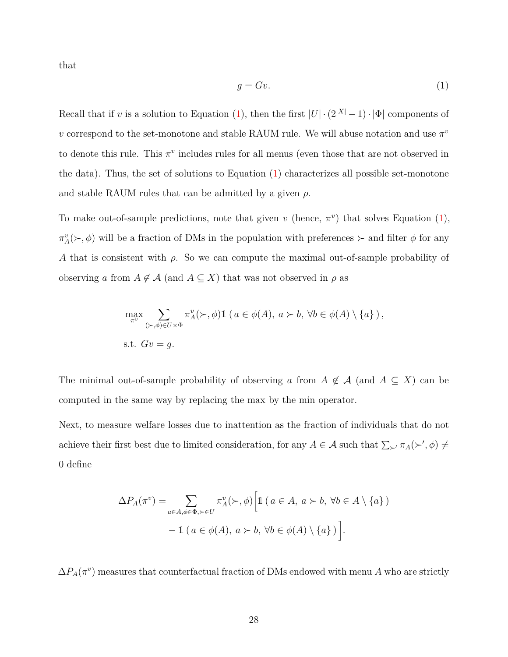that

<span id="page-27-0"></span>
$$
g = Gv.\tag{1}
$$

Recall that if *v* is a solution to Equation [\(1\)](#page-27-0), then the first  $|U| \cdot (2^{|X|} - 1) \cdot |\Phi|$  components of *v* correspond to the set-monotone and stable RAUM rule. We will abuse notation and use  $\pi^v$ to denote this rule. This  $\pi^v$  includes rules for all menus (even those that are not observed in the data). Thus, the set of solutions to Equation [\(1\)](#page-27-0) characterizes all possible set-monotone and stable RAUM rules that can be admitted by a given *ρ*.

To make out-of-sample predictions, note that given *v* (hence,  $\pi^v$ ) that solves Equation [\(1\)](#page-27-0),  $\pi_A^v(\succ, \phi)$  will be a fraction of DMs in the population with preferences  $\succ$  and filter  $\phi$  for any *A* that is consistent with *ρ*. So we can compute the maximal out-of-sample probability of observing *a* from  $A \notin \mathcal{A}$  (and  $A \subseteq X$ ) that was not observed in  $\rho$  as

$$
\max_{\pi^v} \sum_{(\succ,\phi)\in U\times \Phi} \pi_A^v(\succ,\phi) 1\!\!1\, (a\in \phi(A),\, a\succ b,\, \forall b\in \phi(A)\setminus \{a\})\,,
$$
s.t.  $Gv = g$ .

The minimal out-of-sample probability of observing *a* from  $A \notin \mathcal{A}$  (and  $A \subseteq X$ ) can be computed in the same way by replacing the max by the min operator.

Next, to measure welfare losses due to inattention as the fraction of individuals that do not achieve their first best due to limited consideration, for any  $A \in \mathcal{A}$  such that  $\sum_{\succ} \pi_A(\succ', \phi) \neq$ 0 define

$$
\Delta P_A(\pi^v) = \sum_{a \in A, \phi \in \Phi, \succ \in U} \pi_A^v(\succ, \phi) \Big[ 1 \ (a \in A, \ a \succ b, \ \forall b \in A \setminus \{a\}) - 1 \ (a \in \phi(A), \ a \succ b, \ \forall b \in \phi(A) \setminus \{a\}) \Big].
$$

 $\Delta P_A(\pi^v)$  measures that counterfactual fraction of DMs endowed with menu *A* who are strictly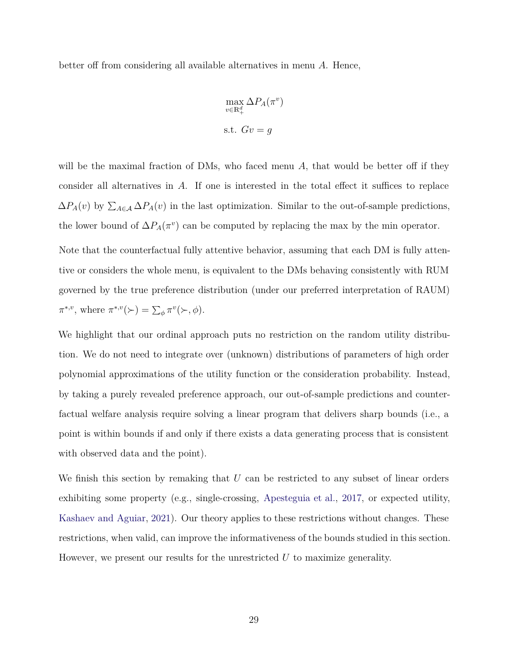better off from considering all available alternatives in menu *A*. Hence,

$$
\max_{v \in \mathbb{R}^d_+} \Delta P_A(\pi^v)
$$
  
s.t.  $Gv = g$ 

will be the maximal fraction of DMs, who faced menu A, that would be better off if they consider all alternatives in *A*. If one is interested in the total effect it suffices to replace  $\Delta P_A(v)$  by  $\sum_{A \in \mathcal{A}} \Delta P_A(v)$  in the last optimization. Similar to the out-of-sample predictions, the lower bound of  $\Delta P_A(\pi^v)$  can be computed by replacing the max by the min operator.

Note that the counterfactual fully attentive behavior, assuming that each DM is fully attentive or considers the whole menu, is equivalent to the DMs behaving consistently with RUM governed by the true preference distribution (under our preferred interpretation of RAUM)  $\pi^{*,v}$ , where  $\pi^{*,v}(\succ) = \sum_{\phi} \pi^v(\succ, \phi)$ .

We highlight that our ordinal approach puts no restriction on the random utility distribution. We do not need to integrate over (unknown) distributions of parameters of high order polynomial approximations of the utility function or the consideration probability. Instead, by taking a purely revealed preference approach, our out-of-sample predictions and counterfactual welfare analysis require solving a linear program that delivers sharp bounds (i.e., a point is within bounds if and only if there exists a data generating process that is consistent with observed data and the point).

<span id="page-28-0"></span>We finish this section by remaking that U can be restricted to any subset of linear orders exhibiting some property (e.g., single-crossing, [Apesteguia et al.](#page-30-10), [2017,](#page-30-10) or expected utility, [Kashaev and Aguiar,](#page-33-9) [2021\)](#page-33-9). Our theory applies to these restrictions without changes. These restrictions, when valid, can improve the informativeness of the bounds studied in this section. However, we present our results for the unrestricted *U* to maximize generality.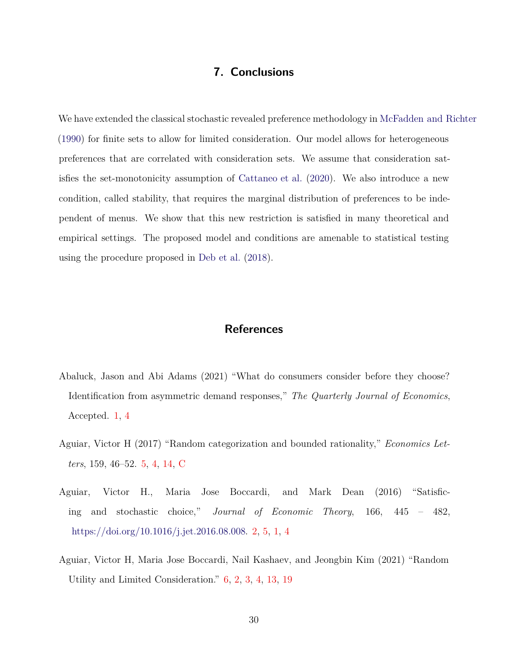## **7. Conclusions**

We have extended the classical stochastic revealed preference methodology in [McFadden and Richter](#page-34-0) [\(1990\)](#page-34-0) for finite sets to allow for limited consideration. Our model allows for heterogeneous preferences that are correlated with consideration sets. We assume that consideration satisfies the set-monotonicity assumption of [Cattaneo et al.](#page-31-0) [\(2020](#page-31-0)). We also introduce a new condition, called stability, that requires the marginal distribution of preferences to be independent of menus. We show that this new restriction is satisfied in many theoretical and empirical settings. The proposed model and conditions are amenable to statistical testing using the procedure proposed in [Deb et al.](#page-31-9) [\(2018\)](#page-31-9).

## **References**

- <span id="page-29-3"></span>Abaluck, Jason and Abi Adams (2021) "What do consumers consider before they choose? Identification from asymmetric demand responses," *The Quarterly Journal of Economics*, Accepted. [1,](#page-1-4) [4](#page-13-0)
- <span id="page-29-1"></span>Aguiar, Victor H (2017) "Random categorization and bounded rationality," *Economics Letters*, 159, 46–52. [5,](#page-2-0) [4,](#page-14-1) [14,](#page-15-2) [C](#page-43-0)
- <span id="page-29-0"></span>Aguiar, Victor H., Maria Jose Boccardi, and Mark Dean (2016) "Satisficing and stochastic choice," *Journal of Economic Theory*, 166, 445 – 482, [https://doi.org/10.1016/j.jet.2016.08.008.](http://dx.doi.org/https://doi.org/10.1016/j.jet.2016.08.008) [2,](#page-1-1) [5,](#page-2-0) [1,](#page-1-4) [4](#page-16-0)
- <span id="page-29-2"></span>Aguiar, Victor H, Maria Jose Boccardi, Nail Kashaev, and Jeongbin Kim (2021) "Random Utility and Limited Consideration." [6,](#page-3-0) [2,](#page-5-1) [3,](#page-11-0) [4,](#page-13-0) [13,](#page-15-1) [19](#page-24-0)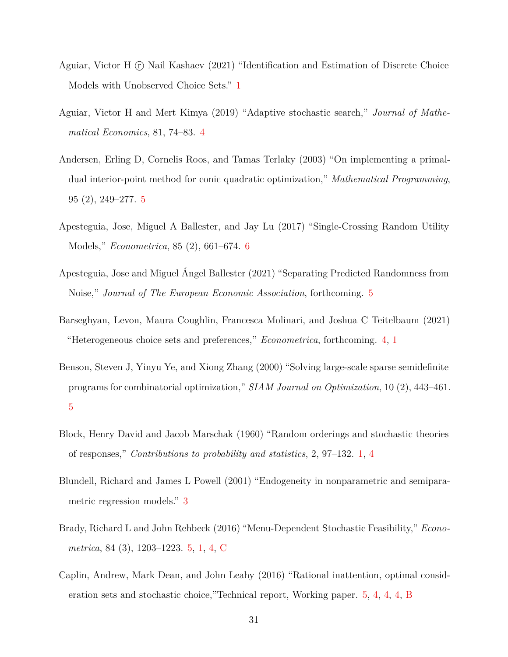- <span id="page-30-4"></span>Aguiar, Victor H (r) Nail Kashaev (2021) "Identification and Estimation of Discrete Choice Models with Unobserved Choice Sets." [1](#page-1-4)
- <span id="page-30-6"></span>Aguiar, Victor H and Mert Kimya (2019) "Adaptive stochastic search," *Journal of Mathematical Economics*, 81, 74–83. [4](#page-16-0)
- <span id="page-30-8"></span>Andersen, Erling D, Cornelis Roos, and Tamas Terlaky (2003) "On implementing a primaldual interior-point method for conic quadratic optimization," *Mathematical Programming*, 95 (2), 249–277. [5](#page-23-1)
- <span id="page-30-10"></span>Apesteguia, Jose, Miguel A Ballester, and Jay Lu (2017) "Single-Crossing Random Utility Models," *Econometrica*, 85 (2), 661–674. [6](#page-27-0)
- <span id="page-30-9"></span>Apesteguia, Jose and Miguel Ángel Ballester (2021) "Separating Predicted Randomness from Noise," *Journal of The European Economic Association*, forthcoming. [5](#page-23-1)
- <span id="page-30-1"></span>Barseghyan, Levon, Maura Coughlin, Francesca Molinari, and Joshua C Teitelbaum (2021) "Heterogeneous choice sets and preferences," *Econometrica*, forthcoming. [4,](#page-1-3) [1](#page-1-4)
- <span id="page-30-7"></span>Benson, Steven J, Yinyu Ye, and Xiong Zhang (2000) "Solving large-scale sparse semidefinite programs for combinatorial optimization," *SIAM Journal on Optimization*, 10 (2), 443–461. [5](#page-23-1)
- <span id="page-30-0"></span>Block, Henry David and Jacob Marschak (1960) "Random orderings and stochastic theories of responses," *Contributions to probability and statistics*, 2, 97–132. [1,](#page-1-0) [4](#page-19-1)
- <span id="page-30-5"></span>Blundell, Richard and James L Powell (2001) "Endogeneity in nonparametric and semiparametric regression models." [3](#page-11-0)
- <span id="page-30-2"></span>Brady, Richard L and John Rehbeck (2016) "Menu-Dependent Stochastic Feasibility," *Econometrica*, 84 (3), 1203–1223. [5,](#page-2-0) [1,](#page-1-4) [4,](#page-14-1) [C](#page-43-0)
- <span id="page-30-3"></span>Caplin, Andrew, Mark Dean, and John Leahy (2016) "Rational inattention, optimal consideration sets and stochastic choice,"Technical report, Working paper. [5,](#page-2-0) [4,](#page-16-0) [4,](#page-18-1) [4,](#page-19-1) [B](#page-40-0)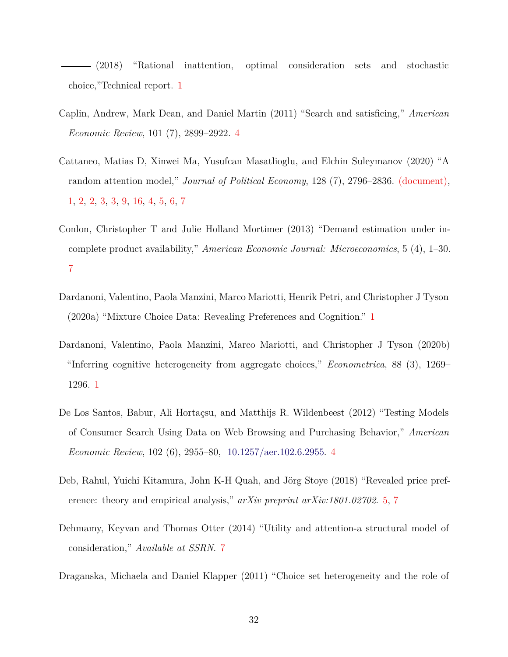<span id="page-31-2"></span>(2018) "Rational inattention, optimal consideration sets and stochastic choice,"Technical report. [1](#page-1-4)

- <span id="page-31-8"></span>Caplin, Andrew, Mark Dean, and Daniel Martin (2011) "Search and satisficing," *American Economic Review*, 101 (7), 2899–2922. [4](#page-16-0)
- <span id="page-31-0"></span>Cattaneo, Matias D, Xinwei Ma, Yusufcan Masatlioglu, and Elchin Suleymanov (2020) "A random attention model," *Journal of Political Economy*, 128 (7), 2796–2836. [\(document\),](#page-0-0) [1,](#page-1-4) [2,](#page-7-1) [2,](#page-8-0) [3,](#page-10-0) [3,](#page-11-0) [9,](#page-12-0) [16,](#page-17-0) [4,](#page-19-1) [5,](#page-23-1) [6,](#page-25-2) [7](#page-28-0)
- <span id="page-31-6"></span>Conlon, Christopher T and Julie Holland Mortimer (2013) "Demand estimation under incomplete product availability," *American Economic Journal: Microeconomics*, 5 (4), 1–30. [7](#page-4-0)
- <span id="page-31-4"></span>Dardanoni, Valentino, Paola Manzini, Marco Mariotti, Henrik Petri, and Christopher J Tyson (2020a) "Mixture Choice Data: Revealing Preferences and Cognition." [1](#page-1-4)
- <span id="page-31-3"></span>Dardanoni, Valentino, Paola Manzini, Marco Mariotti, and Christopher J Tyson (2020b) "Inferring cognitive heterogeneity from aggregate choices," *Econometrica*, 88 (3), 1269– 1296. [1](#page-1-4)
- <span id="page-31-1"></span>De Los Santos, Babur, Ali Hortaçsu, and Matthijs R. Wildenbeest (2012) "Testing Models of Consumer Search Using Data on Web Browsing and Purchasing Behavior," *American Economic Review*, 102 (6), 2955–80, [10.1257/aer.102.6.2955.](http://dx.doi.org/10.1257/aer.102.6.2955) [4](#page-1-3)
- <span id="page-31-9"></span>Deb, Rahul, Yuichi Kitamura, John K-H Quah, and Jörg Stoye (2018) "Revealed price preference: theory and empirical analysis," *arXiv preprint arXiv:1801.02702*. [5,](#page-23-1) [7](#page-28-0)
- <span id="page-31-7"></span>Dehmamy, Keyvan and Thomas Otter (2014) "Utility and attention-a structural model of consideration," *Available at SSRN*. [7](#page-4-0)
- <span id="page-31-5"></span>Draganska, Michaela and Daniel Klapper (2011) "Choice set heterogeneity and the role of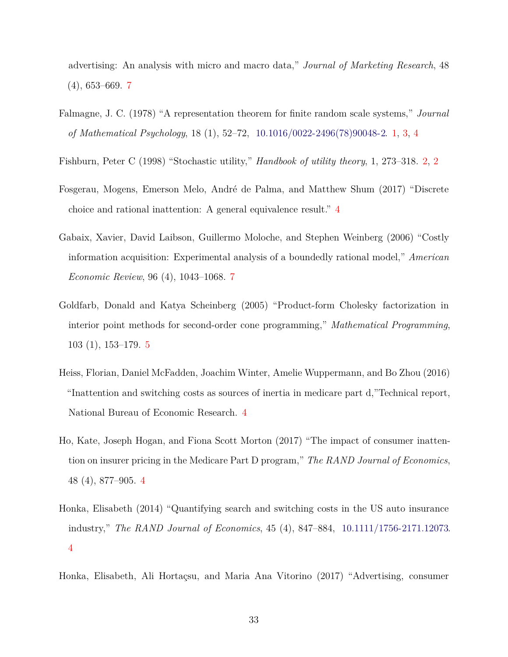advertising: An analysis with micro and macro data," *Journal of Marketing Research*, 48 (4), 653–669. [7](#page-4-0)

- <span id="page-32-0"></span>Falmagne, J. C. (1978) "A representation theorem for finite random scale systems," *Journal of Mathematical Psychology*, 18 (1), 52–72, [10.1016/0022-2496\(78\)90048-2.](http://dx.doi.org/10.1016/0022-2496(78)90048-2) [1,](#page-1-0) [3,](#page-11-0) [4](#page-19-1)
- <span id="page-32-1"></span>Fishburn, Peter C (1998) "Stochastic utility," *Handbook of utility theory*, 1, 273–318. [2,](#page-1-1) [2](#page-14-1)
- <span id="page-32-7"></span>Fosgerau, Mogens, Emerson Melo, André de Palma, and Matthew Shum (2017) "Discrete choice and rational inattention: A general equivalence result." [4](#page-19-1)
- <span id="page-32-6"></span>Gabaix, Xavier, David Laibson, Guillermo Moloche, and Stephen Weinberg (2006) "Costly information acquisition: Experimental analysis of a boundedly rational model," *American Economic Review*, 96 (4), 1043–1068. [7](#page-4-0)
- <span id="page-32-8"></span>Goldfarb, Donald and Katya Scheinberg (2005) "Product-form Cholesky factorization in interior point methods for second-order cone programming," *Mathematical Programming*, 103 (1), 153–179. [5](#page-23-1)
- <span id="page-32-3"></span>Heiss, Florian, Daniel McFadden, Joachim Winter, Amelie Wuppermann, and Bo Zhou (2016) "Inattention and switching costs as sources of inertia in medicare part d,"Technical report, National Bureau of Economic Research. [4](#page-1-3)
- <span id="page-32-2"></span>Ho, Kate, Joseph Hogan, and Fiona Scott Morton (2017) "The impact of consumer inattention on insurer pricing in the Medicare Part D program," *The RAND Journal of Economics*, 48 (4), 877–905. [4](#page-1-3)
- <span id="page-32-4"></span>Honka, Elisabeth (2014) "Quantifying search and switching costs in the US auto insurance industry," *The RAND Journal of Economics*, 45 (4), 847–884, [10.1111/1756-2171.12073.](http://dx.doi.org/10.1111/1756-2171.12073) [4](#page-1-3)

<span id="page-32-5"></span>Honka, Elisabeth, Ali Hortaçsu, and Maria Ana Vitorino (2017) "Advertising, consumer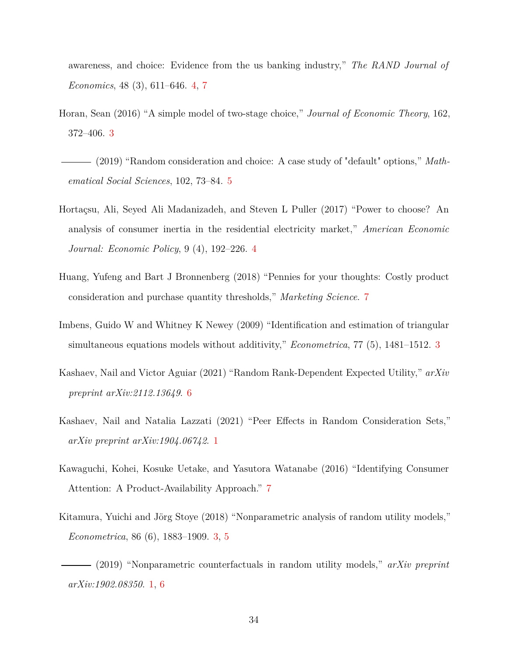awareness, and choice: Evidence from the us banking industry," *The RAND Journal of Economics*, 48 (3), 611–646. [4,](#page-1-3) [7](#page-4-0)

- <span id="page-33-0"></span>Horan, Sean (2016) "A simple model of two-stage choice," *Journal of Economic Theory*, 162, 372–406. [3](#page-1-2)
- <span id="page-33-3"></span>(2019) "Random consideration and choice: A case study of "default" options," *Mathematical Social Sciences*, 102, 73–84. [5](#page-2-0)
- <span id="page-33-1"></span>Hortaçsu, Ali, Seyed Ali Madanizadeh, and Steven L Puller (2017) "Power to choose? An analysis of consumer inertia in the residential electricity market," *American Economic Journal: Economic Policy*, 9 (4), 192–226. [4](#page-1-3)
- <span id="page-33-6"></span>Huang, Yufeng and Bart J Bronnenberg (2018) "Pennies for your thoughts: Costly product consideration and purchase quantity thresholds," *Marketing Science*. [7](#page-4-0)
- <span id="page-33-8"></span>Imbens, Guido W and Whitney K Newey (2009) "Identification and estimation of triangular simultaneous equations models without additivity," *Econometrica*, 77 (5), 1481–1512. [3](#page-11-0)
- <span id="page-33-9"></span>Kashaev, Nail and Victor Aguiar (2021) "Random Rank-Dependent Expected Utility," *arXiv preprint arXiv:2112.13649*. [6](#page-27-0)
- <span id="page-33-4"></span>Kashaev, Nail and Natalia Lazzati (2021) "Peer Effects in Random Consideration Sets," *arXiv preprint arXiv:1904.06742*. [1](#page-1-4)
- <span id="page-33-5"></span>Kawaguchi, Kohei, Kosuke Uetake, and Yasutora Watanabe (2016) "Identifying Consumer Attention: A Product-Availability Approach." [7](#page-4-0)
- <span id="page-33-7"></span>Kitamura, Yuichi and Jörg Stoye (2018) "Nonparametric analysis of random utility models," *Econometrica*, 86 (6), 1883–1909. [3,](#page-11-0) [5](#page-23-1)

<span id="page-33-2"></span>(2019) "Nonparametric counterfactuals in random utility models," *arXiv preprint arXiv:1902.08350*. [1,](#page-1-4) [6](#page-25-2)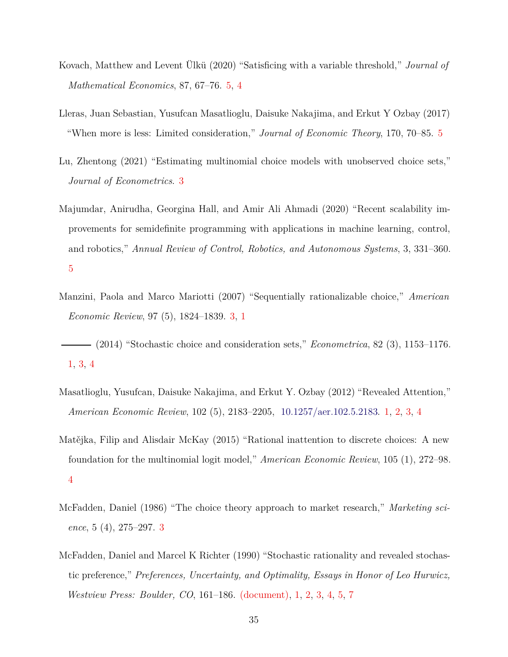- <span id="page-34-4"></span>Kovach, Matthew and Levent Ülkü (2020) "Satisficing with a variable threshold," *Journal of Mathematical Economics*, 87, 67–76. [5,](#page-2-0) [4](#page-16-0)
- <span id="page-34-5"></span>Lleras, Juan Sebastian, Yusufcan Masatlioglu, Daisuke Nakajima, and Erkut Y Ozbay (2017) "When more is less: Limited consideration," *Journal of Economic Theory*, 170, 70–85. [5](#page-2-0)
- <span id="page-34-7"></span>Lu, Zhentong (2021) "Estimating multinomial choice models with unobserved choice sets," *Journal of Econometrics*. [3](#page-11-0)
- <span id="page-34-9"></span>Majumdar, Anirudha, Georgina Hall, and Amir Ali Ahmadi (2020) "Recent scalability improvements for semidefinite programming with applications in machine learning, control, and robotics," *Annual Review of Control, Robotics, and Autonomous Systems*, 3, 331–360. [5](#page-23-1)
- <span id="page-34-1"></span>Manzini, Paola and Marco Mariotti (2007) "Sequentially rationalizable choice," *American Economic Review*, 97 (5), 1824–1839. [3,](#page-1-2) [1](#page-1-4)
- <span id="page-34-3"></span>(2014) "Stochastic choice and consideration sets," *Econometrica*, 82 (3), 1153–1176. [1,](#page-1-4) [3,](#page-11-0) [4](#page-14-1)
- <span id="page-34-2"></span>Masatlioglu, Yusufcan, Daisuke Nakajima, and Erkut Y. Ozbay (2012) "Revealed Attention," *American Economic Review*, 102 (5), 2183–2205, [10.1257/aer.102.5.2183.](http://dx.doi.org/10.1257/aer.102.5.2183) [1,](#page-1-4) [2,](#page-5-1) [3,](#page-11-0) [4](#page-19-1)
- <span id="page-34-8"></span>Matějka, Filip and Alisdair McKay (2015) "Rational inattention to discrete choices: A new foundation for the multinomial logit model," *American Economic Review*, 105 (1), 272–98. [4](#page-19-1)
- <span id="page-34-6"></span>McFadden, Daniel (1986) "The choice theory approach to market research," *Marketing science*, 5 (4), 275–297. [3](#page-11-0)
- <span id="page-34-0"></span>McFadden, Daniel and Marcel K Richter (1990) "Stochastic rationality and revealed stochastic preference," *Preferences, Uncertainty, and Optimality, Essays in Honor of Leo Hurwicz, Westview Press: Boulder, CO*, 161–186. [\(document\),](#page-0-0) [1,](#page-1-4) [2,](#page-7-1) [3,](#page-11-0) [4,](#page-14-1) [5,](#page-21-0) [7](#page-28-0)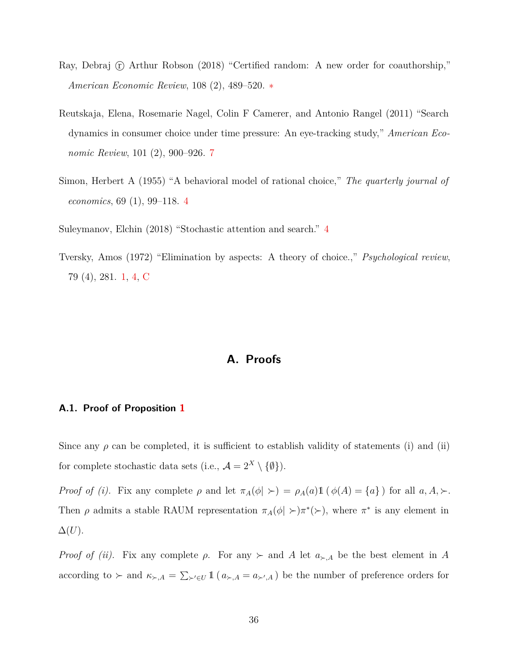- <span id="page-35-0"></span>Ray, Debraj  $\hat{r}$  Arthur Robson (2018) "Certified random: A new order for coauthorship," *American Economic Review*, 108 (2), 489–520. [∗](#page-0-0)
- <span id="page-35-2"></span>Reutskaja, Elena, Rosemarie Nagel, Colin F Camerer, and Antonio Rangel (2011) "Search dynamics in consumer choice under time pressure: An eye-tracking study," *American Economic Review*, 101 (2), 900–926. [7](#page-4-0)
- <span id="page-35-6"></span>Simon, Herbert A (1955) "A behavioral model of rational choice," *The quarterly journal of economics*, 69 (1), 99–118. [4](#page-14-1)

<span id="page-35-5"></span>Suleymanov, Elchin (2018) "Stochastic attention and search." [4](#page-14-1)

<span id="page-35-3"></span><span id="page-35-1"></span>Tversky, Amos (1972) "Elimination by aspects: A theory of choice.," *Psychological review*, 79 (4), 281. [1,](#page-1-4) [4,](#page-14-1) [C](#page-43-0)

## **A. Proofs**

#### <span id="page-35-4"></span>**A.1. Proof of Proposition [1](#page-9-0)**

Since any  $\rho$  can be completed, it is sufficient to establish validity of statements (i) and (ii) for complete stochastic data sets (i.e.,  $\mathcal{A} = 2^X \setminus \{\emptyset\}$ ).

*Proof of (i).* Fix any complete  $\rho$  and let  $\pi_A(\phi \mid \succ) = \rho_A(a) \mathbb{1}(\phi(A) = \{a\})$  for all  $a, A, \succ$ . Then  $\rho$  admits a stable RAUM representation  $\pi_A(\phi \mid \rangle \rightarrow \pi^*(\rangle)$ , where  $\pi^*$  is any element in  $\Delta(U)$ .

*Proof of (ii).* Fix any complete  $\rho$ . For any  $\succ$  and A let  $a_{\succ,A}$  be the best element in A according to  $\succ$  and  $\kappa_{\succ,A} = \sum_{\succ' \in U} 1\!\!1 (a_{\succ,A} = a_{\succ',A})$  be the number of preference orders for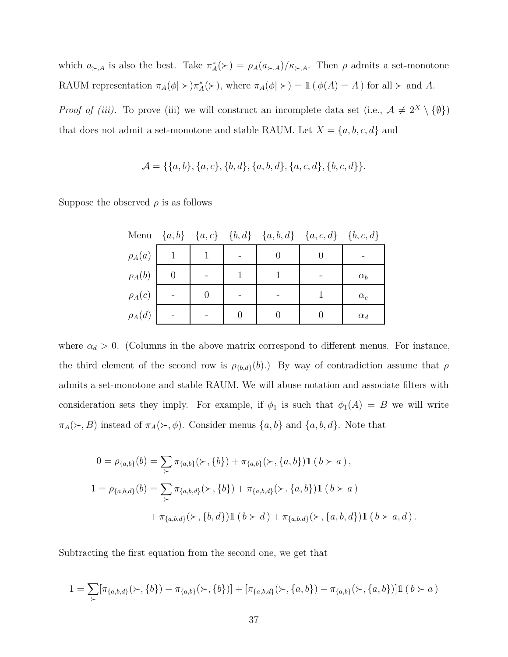which  $a_{\succ,A}$  is also the best. Take  $\pi_A^*(\succ) = \rho_A(a_{\succ,A})/\kappa_{\succ,A}$ . Then  $\rho$  admits a set-monotone RAUM representation  $\pi_A(\phi \mid \succ) \pi_A^*(\succ)$ , where  $\pi_A(\phi \mid \succ) = 1 \ (\phi(A) = A)$  for all  $\succ$  and *A*.

*Proof of (iii).* To prove (iii) we will construct an incomplete data set (i.e.,  $A \neq 2^X \setminus \{\emptyset\}$ ) that does not admit a set-monotone and stable RAUM. Let  $X = \{a, b, c, d\}$  and

$$
\mathcal{A} = \{\{a,b\}, \{a,c\}, \{b,d\}, \{a,b,d\}, \{a,c,d\}, \{b,c,d\}\}.
$$

Suppose the observed  $\rho$  is as follows

| Menu        |  | $\{a,b\}$ $\{a,c\}$ $\{b,d\}$ $\{a,b,d\}$ $\{a,c,d\}$ $\{b,c,d\}$ |              |
|-------------|--|-------------------------------------------------------------------|--------------|
| $\rho_A(a)$ |  |                                                                   |              |
| $\rho_A(b)$ |  |                                                                   | $\alpha_b$   |
| $\rho_A(c)$ |  |                                                                   | $\alpha_{c}$ |
| $\rho_A(d)$ |  |                                                                   | $\alpha_d$   |

where  $\alpha_d > 0$ . (Columns in the above matrix correspond to different menus. For instance, the third element of the second row is  $\rho_{\{b,d\}}(b)$ .) By way of contradiction assume that  $\rho$ admits a set-monotone and stable RAUM. We will abuse notation and associate filters with consideration sets they imply. For example, if  $\phi_1$  is such that  $\phi_1(A) = B$  we will write  $\pi_A(\succ, B)$  instead of  $\pi_A(\succ, \phi)$ . Consider menus  $\{a, b\}$  and  $\{a, b, d\}$ . Note that

$$
0 = \rho_{\{a,b\}}(b) = \sum_{\succ} \pi_{\{a,b\}}(\succ, \{b\}) + \pi_{\{a,b\}}(\succ, \{a,b\}) \mathbb{1} (b \succ a),
$$
  

$$
1 = \rho_{\{a,b,d\}}(b) = \sum_{\succ} \pi_{\{a,b,d\}}(\succ, \{b\}) + \pi_{\{a,b,d\}}(\succ, \{a,b\}) \mathbb{1} (b \succ a)
$$
  

$$
+ \pi_{\{a,b,d\}}(\succ, \{b,d\}) \mathbb{1} (b \succ d) + \pi_{\{a,b,d\}}(\succ, \{a,b,d\}) \mathbb{1} (b \succ a, d).
$$

Subtracting the first equation from the second one, we get that

$$
1 = \sum_{\succ} [\pi_{\{a,b,d\}}(\succ, \{b\}) - \pi_{\{a,b\}}(\succ, \{b\})] + [\pi_{\{a,b,d\}}(\succ, \{a,b\}) - \pi_{\{a,b\}}(\succ, \{a,b\})] \mathbb{1} (b \succ a)
$$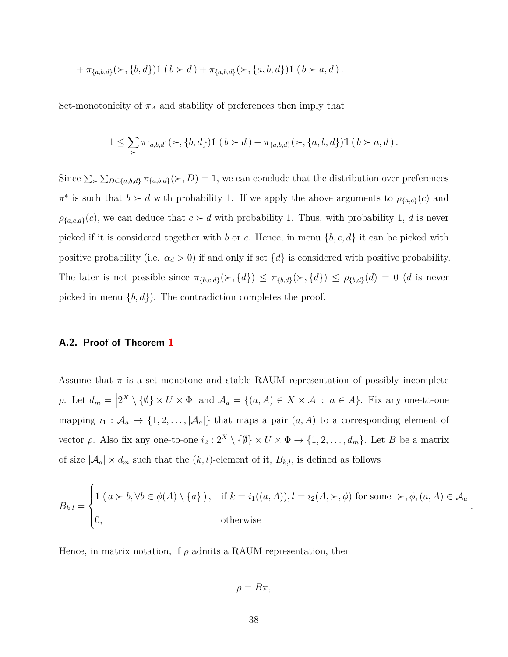$$
+\pi_{\{a,b,d\}}(\succ, \{b,d\})\mathbb{1} (b \succ d) + \pi_{\{a,b,d\}}(\succ, \{a,b,d\})\mathbb{1} (b \succ a,d).
$$

Set-monotonicity of  $\pi_A$  and stability of preferences then imply that

$$
1 \leq \sum_{\succ} \pi_{\{a,b,d\}}(\succ, \{b,d\}) \mathbb{1} (b \succ d) + \pi_{\{a,b,d\}}(\succ, \{a,b,d\}) \mathbb{1} (b \succ a, d).
$$

Since  $\sum_{\succ} \sum_{D \subseteq \{a,b,d\}} \pi_{\{a,b,d\}}(\succ, D) = 1$ , we can conclude that the distribution over preferences  $\pi^*$  is such that  $b \succ d$  with probability 1. If we apply the above arguments to  $\rho_{\{a,c\}}(c)$  and  $\rho_{\{a,c,d\}}(c)$ , we can deduce that  $c \succ d$  with probability 1. Thus, with probability 1, *d* is never picked if it is considered together with *b* or *c*. Hence, in menu {*b, c, d*} it can be picked with positive probability (i.e.  $\alpha_d > 0$ ) if and only if set  $\{d\}$  is considered with positive probability. The later is not possible since  $\pi_{\{b,c,d\}}(\succ, \{d\}) \leq \pi_{\{b,d\}}(\succ, \{d\}) \leq \rho_{\{b,d\}}(d) = 0$  (*d* is never picked in menu  $\{b, d\}$ ). The contradiction completes the proof.

#### **A.2. Proof of Theorem [1](#page-23-0)**

Assume that  $\pi$  is a set-monotone and stable RAUM representation of possibly incomplete  $\rho$ . Let  $d_m = |2^X \setminus \{ \emptyset \} \times U \times \Phi|$  and  $\mathcal{A}_a = \{(a, A) \in X \times \mathcal{A} : a \in A\}$ . Fix any one-to-one mapping  $i_1 : A_a \to \{1, 2, \ldots, |\mathcal{A}_a|\}$  that maps a pair  $(a, A)$  to a corresponding element of vector *ρ*. Also fix any one-to-one  $i_2 : 2^X \setminus \{\emptyset\} \times U \times \Phi \to \{1, 2, ..., d_m\}$ . Let *B* be a matrix of size  $|\mathcal{A}_a| \times d_m$  such that the  $(k, l)$ -element of it,  $B_{k,l}$ , is defined as follows

$$
B_{k,l} = \begin{cases} 1 \ (a \succ b, \forall b \in \phi(A) \setminus \{a\}) \ , & \text{if } k = i_1((a, A)), l = i_2(A, \succ, \phi) \text{ for some } \succ, \phi, (a, A) \in \mathcal{A}_a \\ 0, & \text{otherwise} \end{cases}
$$

*.*

Hence, in matrix notation, if  $\rho$  admits a RAUM representation, then

$$
\rho=B\pi,
$$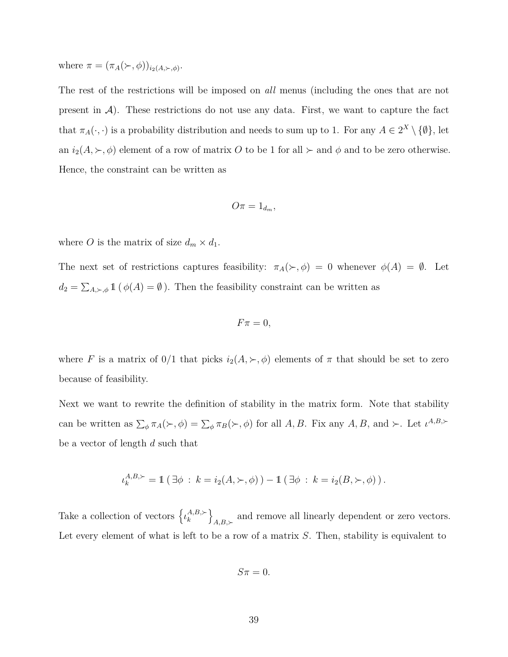where  $\pi = (\pi_A(\succ,\phi))_{i_2(A,\succ,\phi)}$ .

The rest of the restrictions will be imposed on *all* menus (including the ones that are not present in  $\mathcal{A}$ ). These restrictions do not use any data. First, we want to capture the fact that  $\pi_A(\cdot, \cdot)$  is a probability distribution and needs to sum up to 1. For any  $A \in 2^X \setminus \{\emptyset\}$ , let an  $i_2(A, \succ, \phi)$  element of a row of matrix *O* to be 1 for all  $\succ$  and  $\phi$  and to be zero otherwise. Hence, the constraint can be written as

$$
O\pi=1_{d_m},
$$

where *O* is the matrix of size  $d_m \times d_1$ .

The next set of restrictions captures feasibility:  $\pi_A(\succ, \phi) = 0$  whenever  $\phi(A) = \emptyset$ . Let  $d_2 = \sum_{A,\succ,\phi} 1\left(\phi(A) = \emptyset\right)$ . Then the feasibility constraint can be written as

$$
F\pi=0,
$$

where *F* is a matrix of  $0/1$  that picks  $i_2(A, \succ, \phi)$  elements of  $\pi$  that should be set to zero because of feasibility.

Next we want to rewrite the definition of stability in the matrix form. Note that stability can be written as  $\sum_{\phi} \pi_A(\succ, \phi) = \sum_{\phi} \pi_B(\succ, \phi)$  for all *A, B*. Fix any *A, B,* and  $\succ$ . Let  $\iota^{A,B,\succ}$ be a vector of length *d* such that

$$
\iota_k^{A,B,\succ} = \mathbb{1} \left( \exists \phi : k = i_2(A,\succ,\phi) \right) - \mathbb{1} \left( \exists \phi : k = i_2(B,\succ,\phi) \right).
$$

Take a collection of vectors  $\{ \iota_k^{A,B,\succ} \}$  $A,B,\succ \\ k \qquad \qquad \}$  $A, B, \succ$  and remove all linearly dependent or zero vectors. Let every element of what is left to be a row of a matrix *S*. Then, stability is equivalent to

$$
S\pi=0.
$$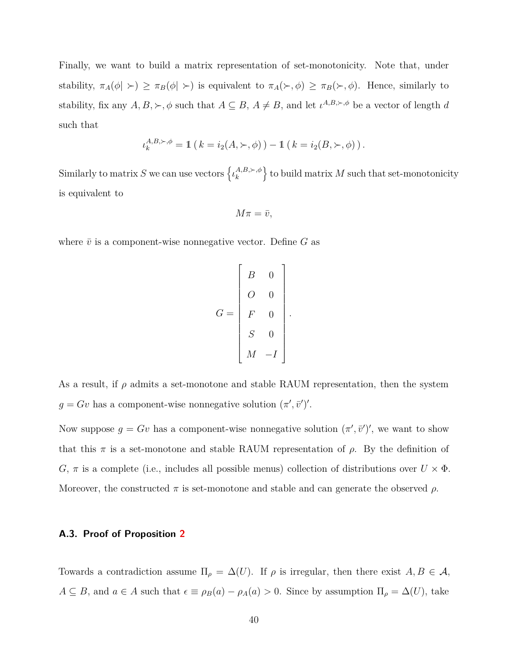Finally, we want to build a matrix representation of set-monotonicity. Note that, under stability,  $\pi_A(\phi \mid \succ) \geq \pi_B(\phi \mid \succ)$  is equivalent to  $\pi_A(\succ, \phi) \geq \pi_B(\succ, \phi)$ . Hence, similarly to stability, fix any  $A, B, \succ, \phi$  such that  $A \subseteq B$ ,  $A \neq B$ , and let  $\iota^{A,B,\succ,\phi}$  be a vector of length *d* such that

$$
\iota_k^{A,B,\succ,\phi} = \mathbb{1} \left( k = i_2(A,\succ,\phi) \right) - \mathbb{1} \left( k = i_2(B,\succ,\phi) \right).
$$

Similarly to matrix *S* we can use vectors  $\{ \iota_k^{A,B,\succ,\phi} \}$  $\left\{ \mathcal{L}_{k}^{A,B,\succ,\phi}\right\}$  to build matrix M such that set-monotonicity is equivalent to

$$
M\pi=\bar{v},
$$

where  $\bar{v}$  is a component-wise nonnegative vector. Define  $G$  as

$$
G = \begin{bmatrix} B & 0 \\ 0 & 0 \\ F & 0 \\ S & 0 \\ M & -I \end{bmatrix}.
$$

As a result, if  $\rho$  admits a set-monotone and stable RAUM representation, then the system  $g = Gv$  has a component-wise nonnegative solution  $(\pi', \bar{v}')'$ .

Now suppose  $g = Gv$  has a component-wise nonnegative solution  $(\pi', \bar{v}')'$ , we want to show that this  $\pi$  is a set-monotone and stable RAUM representation of  $\rho$ . By the definition of *G*,  $\pi$  is a complete (i.e., includes all possible menus) collection of distributions over  $U \times \Phi$ . Moreover, the constructed  $\pi$  is set-monotone and stable and can generate the observed  $\rho$ .

#### **A.3. Proof of Proposition [2](#page-25-2)**

Towards a contradiction assume  $\Pi_{\rho} = \Delta(U)$ . If  $\rho$  is irregular, then there exist  $A, B \in \mathcal{A}$ ,  $A \subseteq B$ , and  $a \in A$  such that  $\epsilon \equiv \rho_B(a) - \rho_A(a) > 0$ . Since by assumption  $\Pi_\rho = \Delta(U)$ , take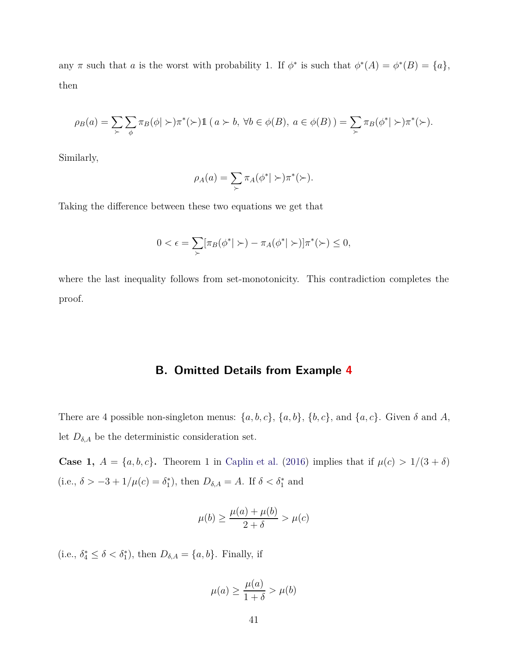any  $\pi$  such that *a* is the worst with probability 1. If  $\phi^*$  is such that  $\phi^*(A) = \phi^*(B) = \{a\},\$ then

$$
\rho_B(a) = \sum_{\succ} \sum_{\phi} \pi_B(\phi | \succ) \pi^*(\succ) \mathbb{1} \ (a \succ b, \ \forall b \in \phi(B), \ a \in \phi(B)) = \sum_{\succ} \pi_B(\phi^* | \succ) \pi^*(\succ).
$$

Similarly,

$$
\rho_A(a) = \sum_{\succ} \pi_A(\phi^* | \succ) \pi^*(\succ).
$$

Taking the difference between these two equations we get that

$$
0 < \epsilon = \sum_{\succ} [\pi_B(\phi^* | \succ) - \pi_A(\phi^* | \succ)] \pi^*(\succ) \leq 0,
$$

<span id="page-40-0"></span>where the last inequality follows from set-monotonicity. This contradiction completes the proof.

## **B. Omitted Details from Example [4](#page-18-1)**

There are 4 possible non-singleton menus:  $\{a, b, c\}$ ,  $\{a, b\}$ ,  $\{b, c\}$ , and  $\{a, c\}$ . Given  $\delta$  and  $A$ , let  $D_{\delta,A}$  be the deterministic consideration set.

**Case 1,**  $A = \{a, b, c\}$ . Theorem 1 in [Caplin et al.](#page-30-3) [\(2016](#page-30-3)) implies that if  $\mu(c) > 1/(3 + \delta)$ (i.e.,  $\delta > -3 + 1/\mu(c) = \delta_1^*$ ), then  $D_{\delta, A} = A$ . If  $\delta < \delta_1^*$  and

$$
\mu(b) \ge \frac{\mu(a) + \mu(b)}{2 + \delta} > \mu(c)
$$

(i.e.,  $\delta_4^* \leq \delta < \delta_1^*$ ), then  $D_{\delta,A} = \{a, b\}$ . Finally, if

$$
\mu(a) \ge \frac{\mu(a)}{1+\delta} > \mu(b)
$$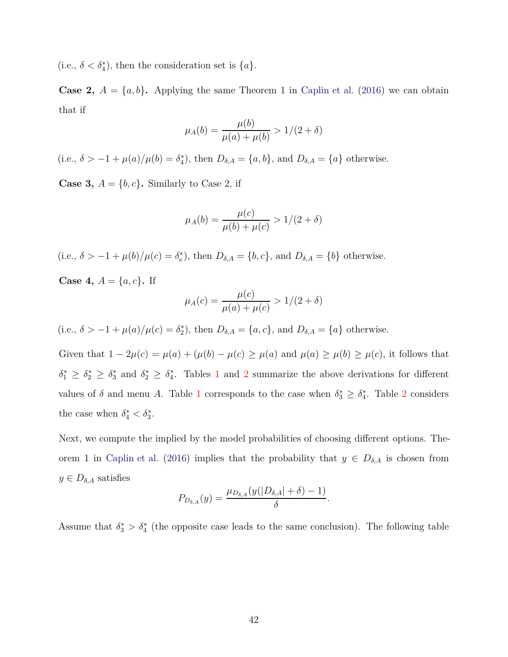(i.e.,  $\delta < \delta_4^*$ ), then the consideration set is  $\{a\}$ .

**Case 2,**  $A = \{a, b\}$ . Applying the same Theorem 1 in [Caplin et al.](#page-30-3) [\(2016](#page-30-3)) we can obtain that if

$$
\mu_A(b) = \frac{\mu(b)}{\mu(a) + \mu(b)} > 1/(2 + \delta)
$$

(i.e.,  $\delta > -1 + \mu(a)/\mu(b) = \delta_4^*$ ), then  $D_{\delta, A} = \{a, b\}$ , and  $D_{\delta, A} = \{a\}$  otherwise.

**Case 3,**  $A = \{b, c\}$ . Similarly to Case 2, if

$$
\mu_A(b) = \frac{\mu(c)}{\mu(b) + \mu(c)} > 1/(2 + \delta)
$$

(i.e.,  $\delta > -1 + \mu(b)/\mu(c) = \delta_e^*$ ), then  $D_{\delta, A} = \{b, c\}$ , and  $D_{\delta, A} = \{b\}$  otherwise.

**Case 4,**  $A = \{a, c\}$ . If

$$
\mu_A(c) = \frac{\mu(c)}{\mu(a) + \mu(c)} > 1/(2 + \delta)
$$

(i.e.,  $\delta > -1 + \mu(a)/\mu(c) = \delta_2^*$ ), then  $D_{\delta, A} = \{a, c\}$ , and  $D_{\delta, A} = \{a\}$  otherwise.

Given that  $1 - 2\mu(c) = \mu(a) + (\mu(b) - \mu(c) \ge \mu(a)$  and  $\mu(a) \ge \mu(b) \ge \mu(c)$ , it follows that  $\delta_1^* \geq \delta_2^* \geq \delta_3^*$  $\delta_1^* \geq \delta_2^* \geq \delta_3^*$  $\delta_1^* \geq \delta_2^* \geq \delta_3^*$  $\delta_1^* \geq \delta_2^* \geq \delta_3^*$  $\delta_1^* \geq \delta_2^* \geq \delta_3^*$  and  $\delta_2^* \geq \delta_4^*$ . Tables 1 and 2 summarize the above derivations for different values of  $\delta$  and menu *A*. Table [1](#page-19-0) corresponds to the case when  $\delta_3^* \geq \delta_4^*$ . Table [2](#page-19-1) considers the case when  $\delta_4^* < \delta_3^*$ .

Next, we compute the implied by the model probabilities of choosing different options. The-orem 1 in [Caplin et al.](#page-30-3) [\(2016\)](#page-30-3) implies that the probability that  $y \in D_{\delta,A}$  is chosen from  $y \in D_{\delta,A}$  satisfies

$$
P_{D_{\delta,A}}(y)=\frac{\mu_{D_{\delta,A}}(y(|D_{\delta,A}|+\delta)-1)}{\delta}.
$$

Assume that  $\delta_3^* > \delta_4^*$  (the opposite case leads to the same conclusion). The following table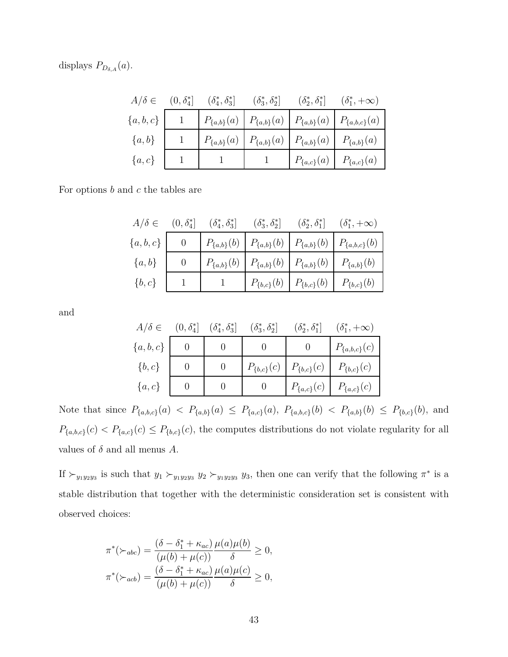displays  $P_{D_{\delta,A}}(a)$ .

|               | $A/\delta \in (0, \delta_4^*]$ $(\delta_4^*, \delta_3^*]$ $(\delta_3^*, \delta_2^*)$ | $(\delta_2^*, \delta_1^*]$ $(\delta_1^*, +\infty)$                                          |                                                                                               |
|---------------|--------------------------------------------------------------------------------------|---------------------------------------------------------------------------------------------|-----------------------------------------------------------------------------------------------|
| $\{a, b, c\}$ |                                                                                      |                                                                                             | $\left  P_{\{a,b\}}(a) \right  P_{\{a,b\}}(a) \left  P_{\{a,b\}}(a) \right  P_{\{a,b,c\}}(a)$ |
| $\{a,b\}$     |                                                                                      | $\left  P_{\{a,b\}}(a) \right  P_{\{a,b\}}(a) \left  P_{\{a,b\}}(a) \right  P_{\{a,b\}}(a)$ |                                                                                               |
| $\{a,c\}$     |                                                                                      | $\mid P_{\{a,c\}}(a) \mid P_{\{a,c\}}(a)$                                                   |                                                                                               |

For options *b* and *c* the tables are

|             |                |                                                                              | $A/\delta \in (0, \delta_4^*]$ $(\delta_4^*, \delta_3^*]$ $(\delta_3^*, \delta_2^*]$ $(\delta_2^*, \delta_1^*]$ $(\delta_1^*, +\infty)$ |
|-------------|----------------|------------------------------------------------------------------------------|-----------------------------------------------------------------------------------------------------------------------------------------|
| $\{a,b,c\}$ | $\overline{0}$ |                                                                              | $\left  P_{\{a,b\}}(b) \right  P_{\{a,b\}}(b) \left  P_{\{a,b\}}(b) \right  P_{\{a,b,c\}}(b)$                                           |
| $\{a,b\}$   | $\overline{0}$ | $P_{\{a,b\}}(b) \mid P_{\{a,b\}}(b) \mid P_{\{a,b\}}(b) \mid P_{\{a,b\}}(b)$ |                                                                                                                                         |
| $\{b,c\}$   |                | $\mid P_{\{b,c\}}(b) \mid P_{\{b,c\}}(b) \mid P_{\{b,c\}}(b)$                |                                                                                                                                         |

and

|             | $A/\delta \in (0, \delta_4^*] \quad (\delta_4^*, \delta_3^*] \quad (\delta_3^*, \delta_2^*]$ |                                                    | $(\delta_2^*, \delta_1^*]$ $(\delta_1^*, +\infty)$ |
|-------------|----------------------------------------------------------------------------------------------|----------------------------------------------------|----------------------------------------------------|
| $\{a,b,c\}$ |                                                                                              | $\overline{0}$                                     | $P_{\{a,b,c\}}(c)$                                 |
| $\{b,c\}$   |                                                                                              | $P_{\{b,c\}}(c)   P_{\{b,c\}}(c)   P_{\{b,c\}}(c)$ |                                                    |
| $\{a,c\}$   |                                                                                              | $P_{\{a,c\}}(c)$   $P_{\{a,c\}}(c)$                |                                                    |

Note that since  $P_{\{a,b,c\}}(a) < P_{\{a,b\}}(a) \leq P_{\{a,c\}}(a), P_{\{a,b,c\}}(b) < P_{\{a,b\}}(b) \leq P_{\{b,c\}}(b),$  and  $P_{\{a,b,c\}}(c) < P_{\{a,c\}}(c) \leq P_{\{b,c\}}(c)$ , the computes distributions do not violate regularity for all values of  $\delta$  and all menus  $A$ .

If  $\succ_{y_1y_2y_3}$  is such that  $y_1 \succ_{y_1y_2y_3} y_2 \succ_{y_1y_2y_3} y_3$ , then one can verify that the following  $\pi^*$  is a stable distribution that together with the deterministic consideration set is consistent with observed choices:

$$
\pi^*(\succ_{abc}) = \frac{(\delta - \delta_1^* + \kappa_{ac})}{(\mu(b) + \mu(c))} \frac{\mu(a)\mu(b)}{\delta} \ge 0,
$$
  

$$
\pi^*(\succ_{acb}) = \frac{(\delta - \delta_1^* + \kappa_{ac})}{(\mu(b) + \mu(c))} \frac{\mu(a)\mu(c)}{\delta} \ge 0,
$$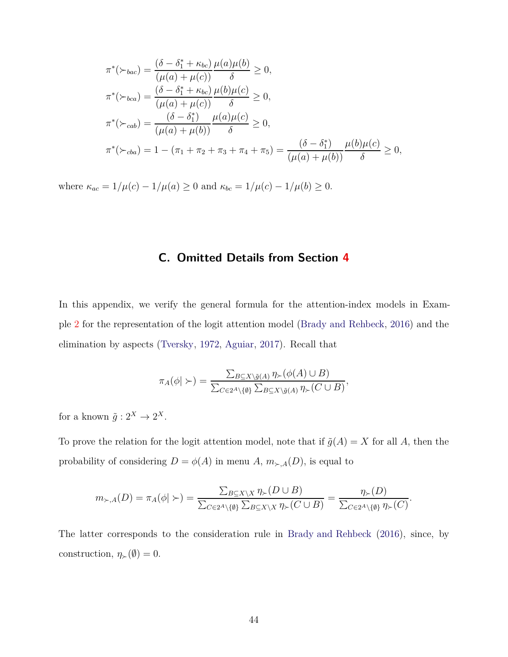$$
\pi^*(\succ_{bac}) = \frac{(\delta - \delta_1^* + \kappa_{bc})}{(\mu(a) + \mu(c))} \frac{\mu(a)\mu(b)}{\delta} \ge 0,
$$
  
\n
$$
\pi^*(\succ_{bca}) = \frac{(\delta - \delta_1^* + \kappa_{bc})}{(\mu(a) + \mu(c))} \frac{\mu(b)\mu(c)}{\delta} \ge 0,
$$
  
\n
$$
\pi^*(\succ_{cab}) = \frac{(\delta - \delta_1^*)}{(\mu(a) + \mu(b))} \frac{\mu(a)\mu(c)}{\delta} \ge 0,
$$
  
\n
$$
\pi^*(\succ_{cba}) = 1 - (\pi_1 + \pi_2 + \pi_3 + \pi_4 + \pi_5) = \frac{(\delta - \delta_1^*)}{(\mu(a) + \mu(b))} \frac{\mu(b)\mu(c)}{\delta} \ge 0,
$$

<span id="page-43-0"></span>where  $\kappa_{ac} = 1/\mu(c) - 1/\mu(a) \ge 0$  and  $\kappa_{bc} = 1/\mu(c) - 1/\mu(b) \ge 0$ .

## **C. Omitted Details from Section [4](#page-13-0)**

In this appendix, we verify the general formula for the attention-index models in Example [2](#page-14-1) for the representation of the logit attention model [\(Brady and Rehbeck](#page-30-2), [2016\)](#page-30-2) and the elimination by aspects [\(Tversky](#page-35-1), [1972](#page-35-1), [Aguiar](#page-29-1), [2017\)](#page-29-1). Recall that

$$
\pi_A(\phi \mid \succ) = \frac{\sum_{B \subseteq X \setminus \tilde{g}(A)} \eta_{\succ}(\phi(A) \cup B)}{\sum_{C \in 2^A \setminus \{\emptyset\}} \sum_{B \subseteq X \setminus \tilde{g}(A)} \eta_{\succ}(C \cup B)},
$$

for a known  $\tilde{g}: 2^X \to 2^X$ .

To prove the relation for the logit attention model, note that if  $\tilde{g}(A) = X$  for all A, then the probability of considering  $D = \phi(A)$  in menu  $A, m_{\succ, A}(D)$ , is equal to

$$
m_{\succ,A}(D)=\pi_A(\phi|\succ)=\frac{\sum_{B\subseteq X\backslash X}\eta_{\succ}(D\cup B)}{\sum_{C\in 2^A\backslash\{\emptyset\}}\sum_{B\subseteq X\backslash X}\eta_{\succ}(C\cup B)}=\frac{\eta_{\succ}(D)}{\sum_{C\in 2^A\backslash\{\emptyset\}}\eta_{\succ}(C)}.
$$

The latter corresponds to the consideration rule in [Brady and Rehbeck](#page-30-2) [\(2016\)](#page-30-2), since, by construction,  $\eta_{\succ}(\emptyset) = 0$ .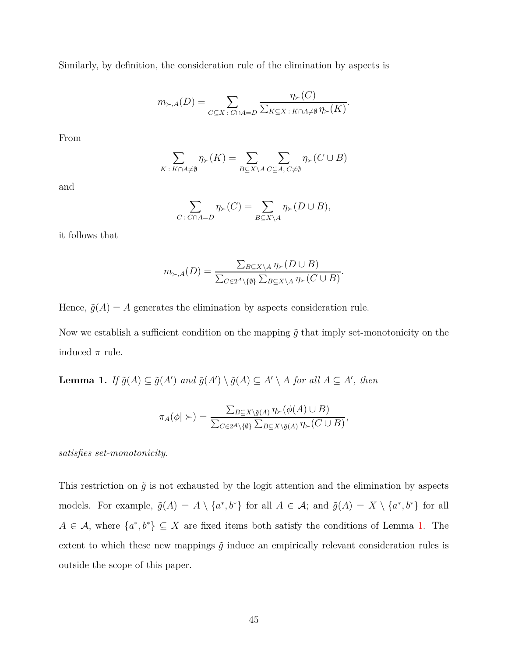Similarly, by definition, the consideration rule of the elimination by aspects is

$$
m_{\succ,A}(D) = \sum_{C \subseteq X \,:\, C \cap A = D} \frac{\eta_{\succ}(C)}{\sum_{K \subseteq X \,:\, K \cap A \neq \emptyset} \eta_{\succ}(K)}.
$$

From

$$
\sum_{K \,:\, K \cap A \neq \emptyset} \eta_{\succ}(K) = \sum_{B \subseteq X \backslash A} \sum_{C \subseteq A, C \neq \emptyset} \eta_{\succ}(C \cup B)
$$

and

$$
\sum_{C \,:\, C \cap A = D} \eta_{\succ}(C) = \sum_{B \subseteq X \setminus A} \eta_{\succ}(D \cup B),
$$

it follows that

$$
m_{\succ,A}(D) = \frac{\sum_{B \subseteq X \setminus A} \eta_{\succ}(D \cup B)}{\sum_{C \in 2^A \setminus \{\emptyset\}} \sum_{B \subseteq X \setminus A} \eta_{\succ}(C \cup B)}.
$$

Hence,  $\tilde{g}(A) = A$  generates the elimination by aspects consideration rule.

Now we establish a sufficient condition on the mapping  $\tilde{g}$  that imply set-monotonicity on the induced  $\pi$  rule.

<span id="page-44-0"></span>**Lemma 1.** *If*  $\tilde{g}(A) \subseteq \tilde{g}(A')$  and  $\tilde{g}(A') \setminus \tilde{g}(A) \subseteq A' \setminus A$  for all  $A \subseteq A'$ , then

$$
\pi_A(\phi \mid \succ) = \frac{\sum_{B \subseteq X \setminus \tilde{g}(A)} \eta_{\succ}(\phi(A) \cup B)}{\sum_{C \in 2^A \setminus \{\emptyset\}} \sum_{B \subseteq X \setminus \tilde{g}(A)} \eta_{\succ}(C \cup B)},
$$

*satisfies set-monotonicity.*

This restriction on  $\tilde{g}$  is not exhausted by the logit attention and the elimination by aspects models. For example,  $\tilde{g}(A) = A \setminus \{a^*, b^*\}$  for all  $A \in \mathcal{A}$ ; and  $\tilde{g}(A) = X \setminus \{a^*, b^*\}$  for all  $A \in \mathcal{A}$ , where  $\{a^*, b^*\} \subseteq X$  are fixed items both satisfy the conditions of Lemma [1.](#page-44-0) The extent to which these new mappings  $\tilde{g}$  induce an empirically relevant consideration rules is outside the scope of this paper.